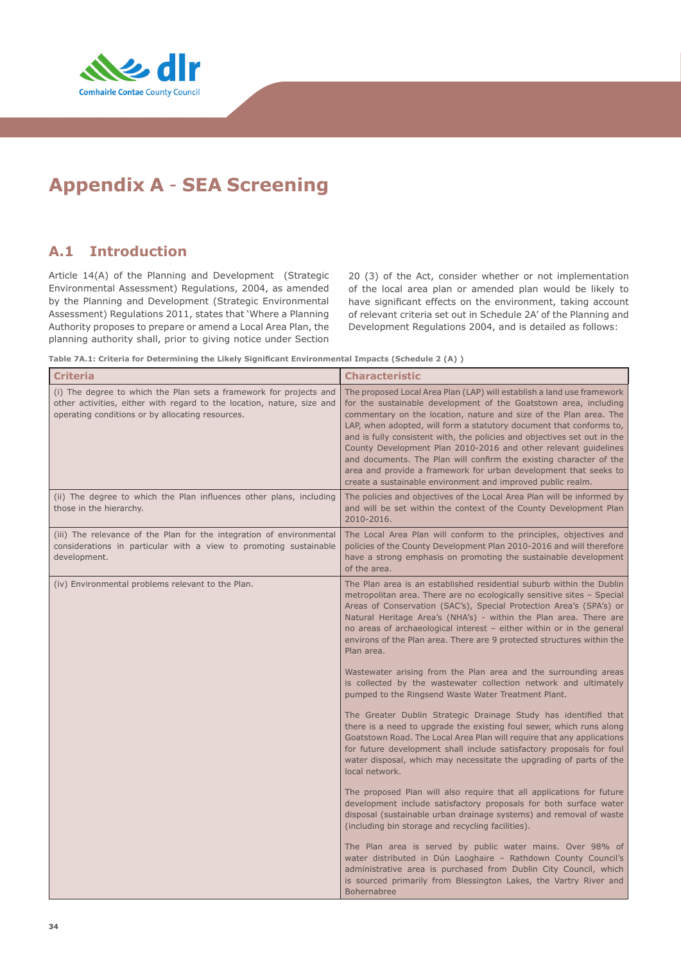

# **Appendix A** - **SEA Screening**

# **A.1 Introduction**

Article 14(A) of the Planning and Development (Strategic Environmental Assessment) Regulations, 2004, as amended by the Planning and Development (Strategic Environmental Assessment) Regulations 2011, states that 'Where a Planning Authority proposes to prepare or amend a Local Area Plan, the planning authority shall, prior to giving notice under Section

20 (3) of the Act, consider whether or not implementation of the local area plan or amended plan would be likely to have significant effects on the environment, taking account of relevant criteria set out in Schedule 2A' of the Planning and Development Regulations 2004, and is detailed as follows:

**Table 7A.1: Criteria for Determining the Likely Significant Environmental Impacts (Schedule 2 (A) )**

| <b>Criteria</b>                                                                                                                                                                                  | <b>Characteristic</b>                                                                                                                                                                                                                                                                                                                                                                                                                                                                                                                                                                                                                                                                                                                                                                                                                                                                                                                                                                                                                                                                                                                                                                                                                                                                                                                                                                                                                                                                                                                                                                                                  |
|--------------------------------------------------------------------------------------------------------------------------------------------------------------------------------------------------|------------------------------------------------------------------------------------------------------------------------------------------------------------------------------------------------------------------------------------------------------------------------------------------------------------------------------------------------------------------------------------------------------------------------------------------------------------------------------------------------------------------------------------------------------------------------------------------------------------------------------------------------------------------------------------------------------------------------------------------------------------------------------------------------------------------------------------------------------------------------------------------------------------------------------------------------------------------------------------------------------------------------------------------------------------------------------------------------------------------------------------------------------------------------------------------------------------------------------------------------------------------------------------------------------------------------------------------------------------------------------------------------------------------------------------------------------------------------------------------------------------------------------------------------------------------------------------------------------------------------|
| (i) The degree to which the Plan sets a framework for projects and<br>other activities, either with regard to the location, nature, size and<br>operating conditions or by allocating resources. | The proposed Local Area Plan (LAP) will establish a land use framework<br>for the sustainable development of the Goatstown area, including<br>commentary on the location, nature and size of the Plan area. The<br>LAP, when adopted, will form a statutory document that conforms to,<br>and is fully consistent with, the policies and objectives set out in the<br>County Development Plan 2010-2016 and other relevant guidelines<br>and documents. The Plan will confirm the existing character of the<br>area and provide a framework for urban development that seeks to<br>create a sustainable environment and improved public realm.                                                                                                                                                                                                                                                                                                                                                                                                                                                                                                                                                                                                                                                                                                                                                                                                                                                                                                                                                                         |
| (ii) The degree to which the Plan influences other plans, including<br>those in the hierarchy.                                                                                                   | The policies and objectives of the Local Area Plan will be informed by<br>and will be set within the context of the County Development Plan<br>2010-2016.                                                                                                                                                                                                                                                                                                                                                                                                                                                                                                                                                                                                                                                                                                                                                                                                                                                                                                                                                                                                                                                                                                                                                                                                                                                                                                                                                                                                                                                              |
| (iii) The relevance of the Plan for the integration of environmental<br>considerations in particular with a view to promoting sustainable<br>development.                                        | The Local Area Plan will conform to the principles, objectives and<br>policies of the County Development Plan 2010-2016 and will therefore<br>have a strong emphasis on promoting the sustainable development<br>of the area.                                                                                                                                                                                                                                                                                                                                                                                                                                                                                                                                                                                                                                                                                                                                                                                                                                                                                                                                                                                                                                                                                                                                                                                                                                                                                                                                                                                          |
| (iv) Environmental problems relevant to the Plan.                                                                                                                                                | The Plan area is an established residential suburb within the Dublin<br>metropolitan area. There are no ecologically sensitive sites - Special<br>Areas of Conservation (SAC's), Special Protection Area's (SPA's) or<br>Natural Heritage Area's (NHA's) - within the Plan area. There are<br>no areas of archaeological interest - either within or in the general<br>environs of the Plan area. There are 9 protected structures within the<br>Plan area.<br>Wastewater arising from the Plan area and the surrounding areas<br>is collected by the wastewater collection network and ultimately<br>pumped to the Ringsend Waste Water Treatment Plant.<br>The Greater Dublin Strategic Drainage Study has identified that<br>there is a need to upgrade the existing foul sewer, which runs along<br>Goatstown Road. The Local Area Plan will require that any applications<br>for future development shall include satisfactory proposals for foul<br>water disposal, which may necessitate the upgrading of parts of the<br>local network.<br>The proposed Plan will also require that all applications for future<br>development include satisfactory proposals for both surface water<br>disposal (sustainable urban drainage systems) and removal of waste<br>(including bin storage and recycling facilities).<br>The Plan area is served by public water mains. Over 98% of<br>water distributed in Dún Laoghaire - Rathdown County Council's<br>administrative area is purchased from Dublin City Council, which<br>is sourced primarily from Blessington Lakes, the Vartry River and<br><b>Bohernabree</b> |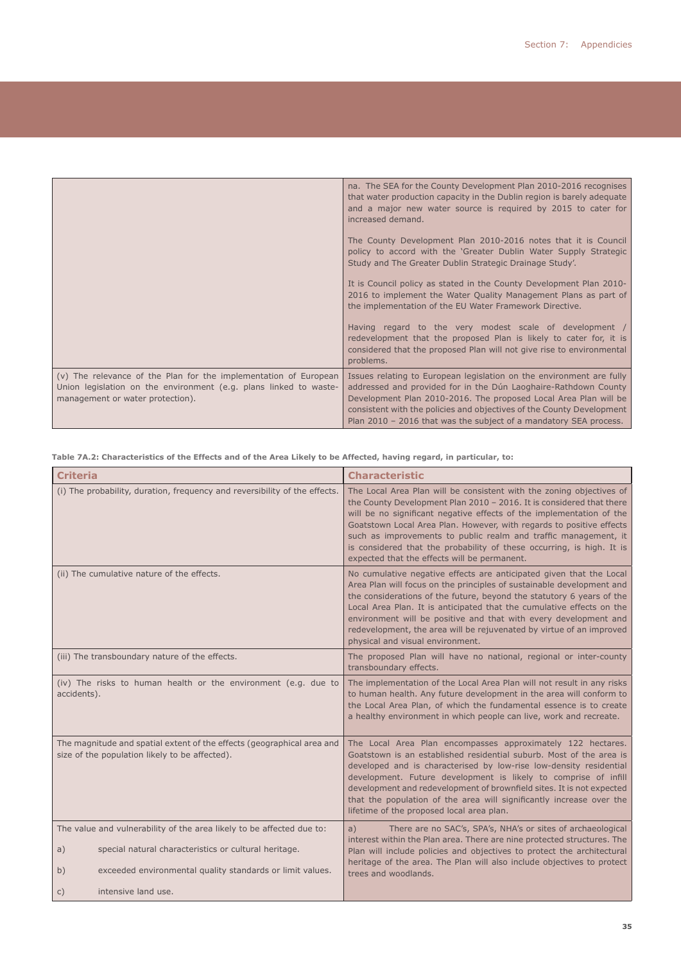|                                                                                                                                                                           | na. The SEA for the County Development Plan 2010-2016 recognises<br>that water production capacity in the Dublin region is barely adequate<br>and a major new water source is required by 2015 to cater for<br>increased demand.                                                                                                                          |
|---------------------------------------------------------------------------------------------------------------------------------------------------------------------------|-----------------------------------------------------------------------------------------------------------------------------------------------------------------------------------------------------------------------------------------------------------------------------------------------------------------------------------------------------------|
|                                                                                                                                                                           | The County Development Plan 2010-2016 notes that it is Council<br>policy to accord with the 'Greater Dublin Water Supply Strategic<br>Study and The Greater Dublin Strategic Drainage Study'.                                                                                                                                                             |
|                                                                                                                                                                           | It is Council policy as stated in the County Development Plan 2010-<br>2016 to implement the Water Quality Management Plans as part of<br>the implementation of the EU Water Framework Directive.                                                                                                                                                         |
|                                                                                                                                                                           | Having regard to the very modest scale of development /<br>redevelopment that the proposed Plan is likely to cater for, it is<br>considered that the proposed Plan will not give rise to environmental<br>problems.                                                                                                                                       |
| (v) The relevance of the Plan for the implementation of European<br>Union legislation on the environment (e.g. plans linked to waste-<br>management or water protection). | Issues relating to European legislation on the environment are fully<br>addressed and provided for in the Dún Laoghaire-Rathdown County<br>Development Plan 2010-2016. The proposed Local Area Plan will be<br>consistent with the policies and objectives of the County Development<br>Plan 2010 - 2016 that was the subject of a mandatory SEA process. |

**Table 7A.2: Characteristics of the Effects and of the Area Likely to be Affected, having regard, in particular, to:** 

| <b>Criteria</b>                                                                                                          | <b>Characteristic</b>                                                                                                                                                                                                                                                                                                                                                                                                                                                                    |  |
|--------------------------------------------------------------------------------------------------------------------------|------------------------------------------------------------------------------------------------------------------------------------------------------------------------------------------------------------------------------------------------------------------------------------------------------------------------------------------------------------------------------------------------------------------------------------------------------------------------------------------|--|
| (i) The probability, duration, frequency and reversibility of the effects.                                               | The Local Area Plan will be consistent with the zoning objectives of<br>the County Development Plan 2010 - 2016. It is considered that there<br>will be no significant negative effects of the implementation of the<br>Goatstown Local Area Plan. However, with regards to positive effects<br>such as improvements to public realm and traffic management, it<br>is considered that the probability of these occurring, is high. It is<br>expected that the effects will be permanent. |  |
| (ii) The cumulative nature of the effects.                                                                               | No cumulative negative effects are anticipated given that the Local<br>Area Plan will focus on the principles of sustainable development and<br>the considerations of the future, beyond the statutory 6 years of the<br>Local Area Plan. It is anticipated that the cumulative effects on the<br>environment will be positive and that with every development and<br>redevelopment, the area will be rejuvenated by virtue of an improved<br>physical and visual environment.           |  |
| (iii) The transboundary nature of the effects.                                                                           | The proposed Plan will have no national, regional or inter-county<br>transboundary effects.                                                                                                                                                                                                                                                                                                                                                                                              |  |
| (iv) The risks to human health or the environment (e.g. due to<br>accidents).                                            | The implementation of the Local Area Plan will not result in any risks<br>to human health. Any future development in the area will conform to<br>the Local Area Plan, of which the fundamental essence is to create<br>a healthy environment in which people can live, work and recreate.                                                                                                                                                                                                |  |
| The magnitude and spatial extent of the effects (geographical area and<br>size of the population likely to be affected). | The Local Area Plan encompasses approximately 122 hectares.<br>Goatstown is an established residential suburb. Most of the area is<br>developed and is characterised by low-rise low-density residential<br>development. Future development is likely to comprise of infill<br>development and redevelopment of brownfield sites. It is not expected<br>that the population of the area will significantly increase over the<br>lifetime of the proposed local area plan.                |  |
| The value and vulnerability of the area likely to be affected due to:                                                    | a)<br>There are no SAC's, SPA's, NHA's or sites of archaeological                                                                                                                                                                                                                                                                                                                                                                                                                        |  |
| special natural characteristics or cultural heritage.<br>a)                                                              | interest within the Plan area. There are nine protected structures. The<br>Plan will include policies and objectives to protect the architectural<br>heritage of the area. The Plan will also include objectives to protect                                                                                                                                                                                                                                                              |  |
| exceeded environmental quality standards or limit values.<br>b)                                                          | trees and woodlands.                                                                                                                                                                                                                                                                                                                                                                                                                                                                     |  |
| intensive land use.<br>$\mathsf{C}$ )                                                                                    |                                                                                                                                                                                                                                                                                                                                                                                                                                                                                          |  |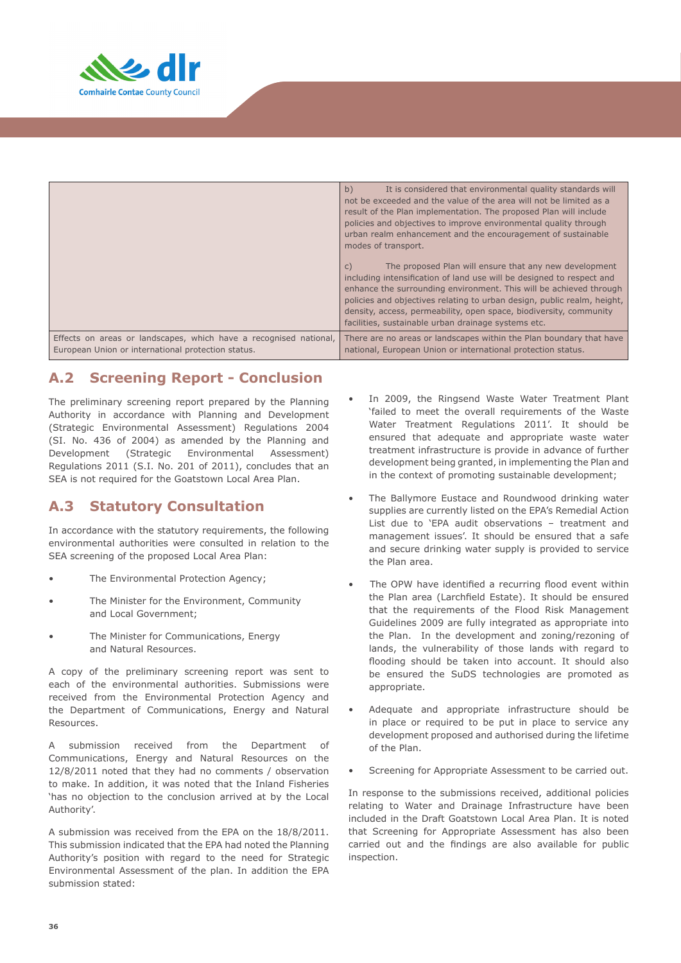

|                                                                   | b)<br>It is considered that environmental quality standards will<br>not be exceeded and the value of the area will not be limited as a<br>result of the Plan implementation. The proposed Plan will include<br>policies and objectives to improve environmental quality through<br>urban realm enhancement and the encouragement of sustainable<br>modes of transport.<br>The proposed Plan will ensure that any new development<br>$\mathsf{C}$<br>including intensification of land use will be designed to respect and<br>enhance the surrounding environment. This will be achieved through<br>policies and objectives relating to urban design, public realm, height,<br>density, access, permeability, open space, biodiversity, community<br>facilities, sustainable urban drainage systems etc. |  |
|-------------------------------------------------------------------|---------------------------------------------------------------------------------------------------------------------------------------------------------------------------------------------------------------------------------------------------------------------------------------------------------------------------------------------------------------------------------------------------------------------------------------------------------------------------------------------------------------------------------------------------------------------------------------------------------------------------------------------------------------------------------------------------------------------------------------------------------------------------------------------------------|--|
| Effects on areas or landscapes, which have a recognised national, | There are no areas or landscapes within the Plan boundary that have                                                                                                                                                                                                                                                                                                                                                                                                                                                                                                                                                                                                                                                                                                                                     |  |
| European Union or international protection status.                | national, European Union or international protection status.                                                                                                                                                                                                                                                                                                                                                                                                                                                                                                                                                                                                                                                                                                                                            |  |

# **A.2 Screening Report - Conclusion**

The preliminary screening report prepared by the Planning Authority in accordance with Planning and Development (Strategic Environmental Assessment) Regulations 2004 (SI. No. 436 of 2004) as amended by the Planning and Development (Strategic Environmental Assessment) Regulations 2011 (S.I. No. 201 of 2011), concludes that an SEA is not required for the Goatstown Local Area Plan.

# **A.3 Statutory Consultation**

In accordance with the statutory requirements, the following environmental authorities were consulted in relation to the SEA screening of the proposed Local Area Plan:

- The Environmental Protection Agency;
- The Minister for the Environment, Community and Local Government;
- The Minister for Communications, Energy and Natural Resources.

A copy of the preliminary screening report was sent to each of the environmental authorities. Submissions were received from the Environmental Protection Agency and the Department of Communications, Energy and Natural Resources.

A submission received from the Department of Communications, Energy and Natural Resources on the 12/8/2011 noted that they had no comments / observation to make. In addition, it was noted that the Inland Fisheries 'has no objection to the conclusion arrived at by the Local Authority'.

A submission was received from the EPA on the 18/8/2011. This submission indicated that the EPA had noted the Planning Authority's position with regard to the need for Strategic Environmental Assessment of the plan. In addition the EPA submission stated:

- In 2009, the Ringsend Waste Water Treatment Plant 'failed to meet the overall requirements of the Waste Water Treatment Regulations 2011'. It should be ensured that adequate and appropriate waste water treatment infrastructure is provide in advance of further development being granted, in implementing the Plan and in the context of promoting sustainable development;
- The Ballymore Eustace and Roundwood drinking water supplies are currently listed on the EPA's Remedial Action List due to 'EPA audit observations – treatment and management issues'. It should be ensured that a safe and secure drinking water supply is provided to service the Plan area.
- The OPW have identified a recurring flood event within the Plan area (Larchfield Estate). It should be ensured that the requirements of the Flood Risk Management Guidelines 2009 are fully integrated as appropriate into the Plan. In the development and zoning/rezoning of lands, the vulnerability of those lands with regard to flooding should be taken into account. It should also be ensured the SuDS technologies are promoted as appropriate.
- Adequate and appropriate infrastructure should be in place or required to be put in place to service any development proposed and authorised during the lifetime of the Plan.
- Screening for Appropriate Assessment to be carried out.

In response to the submissions received, additional policies relating to Water and Drainage Infrastructure have been included in the Draft Goatstown Local Area Plan. It is noted that Screening for Appropriate Assessment has also been carried out and the findings are also available for public inspection.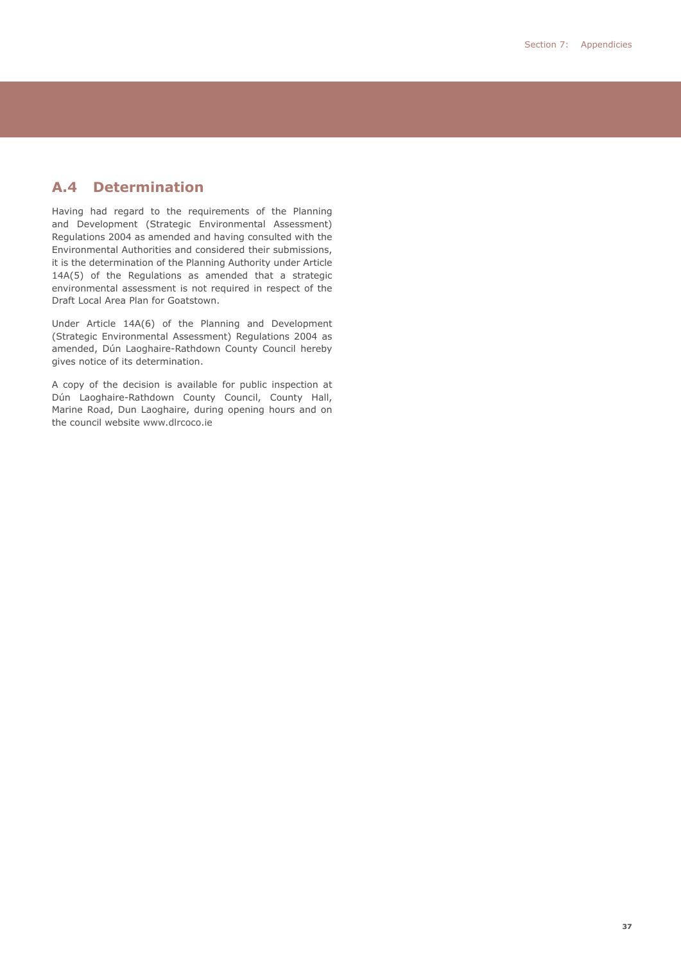# **A.4 Determination**

Having had regard to the requirements of the Planning and Development (Strategic Environmental Assessment) Regulations 2004 as amended and having consulted with the Environmental Authorities and considered their submissions, it is the determination of the Planning Authority under Article 14A(5) of the Regulations as amended that a strategic environmental assessment is not required in respect of the Draft Local Area Plan for Goatstown.

Under Article 14A(6) of the Planning and Development (Strategic Environmental Assessment) Regulations 2004 as amended, Dún Laoghaire-Rathdown County Council hereby gives notice of its determination.

A copy of the decision is available for public inspection at Dún Laoghaire-Rathdown County Council, County Hall, Marine Road, Dun Laoghaire, during opening hours and on the council website www.dlrcoco.ie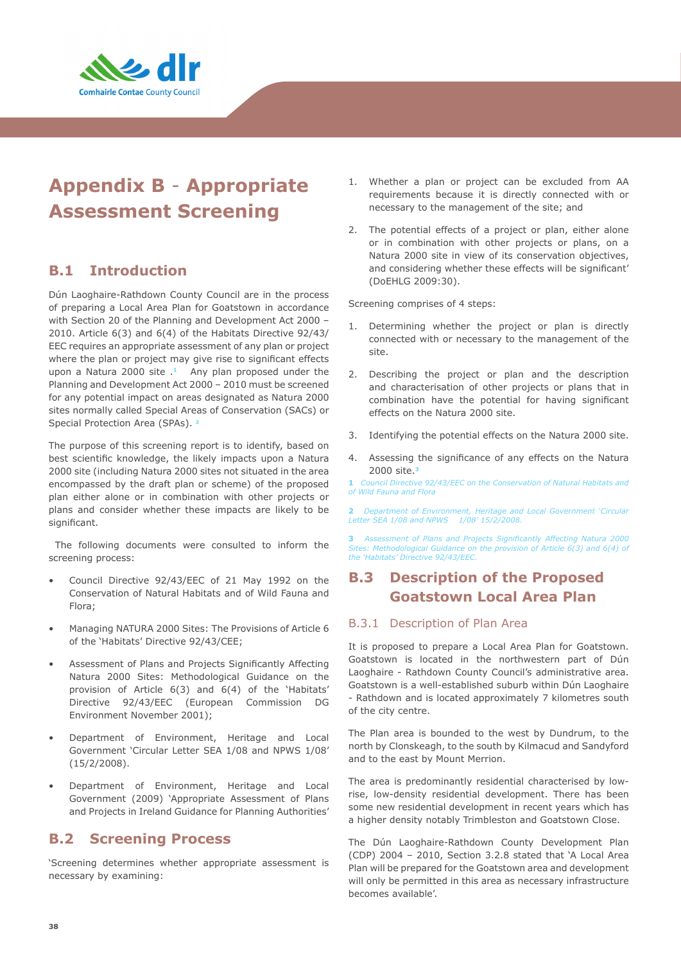

# **Appendix B** - **Appropriate Assessment Screening**

# **B.1 Introduction**

Dún Laoghaire-Rathdown County Council are in the process of preparing a Local Area Plan for Goatstown in accordance with Section 20 of the Planning and Development Act 2000 – 2010. Article 6(3) and 6(4) of the Habitats Directive 92/43/ EEC requires an appropriate assessment of any plan or project where the plan or project may give rise to significant effects upon a Natura 2000 site .**1** Any plan proposed under the Planning and Development Act 2000 – 2010 must be screened for any potential impact on areas designated as Natura 2000 sites normally called Special Areas of Conservation (SACs) or Special Protection Area (SPAs). **<sup>2</sup>**

The purpose of this screening report is to identify, based on best scientific knowledge, the likely impacts upon a Natura 2000 site (including Natura 2000 sites not situated in the area encompassed by the draft plan or scheme) of the proposed plan either alone or in combination with other projects or plans and consider whether these impacts are likely to be significant.

 The following documents were consulted to inform the screening process:

- Council Directive 92/43/EEC of 21 May 1992 on the Conservation of Natural Habitats and of Wild Fauna and Flora;
- Managing NATURA 2000 Sites: The Provisions of Article 6 of the 'Habitats' Directive 92/43/CEE;
- Assessment of Plans and Projects Significantly Affecting Natura 2000 Sites: Methodological Guidance on the provision of Article 6(3) and 6(4) of the 'Habitats' Directive 92/43/EEC (European Commission DG Environment November 2001);
- Department of Environment, Heritage and Local Government 'Circular Letter SEA 1/08 and NPWS 1/08' (15/2/2008).
- Department of Environment, Heritage and Local Government (2009) 'Appropriate Assessment of Plans and Projects in Ireland Guidance for Planning Authorities'

# **B.2 Screening Process**

'Screening determines whether appropriate assessment is necessary by examining:

- 1. Whether a plan or project can be excluded from AA requirements because it is directly connected with or necessary to the management of the site; and
- 2. The potential effects of a project or plan, either alone or in combination with other projects or plans, on a Natura 2000 site in view of its conservation objectives, and considering whether these effects will be significant' (DoEHLG 2009:30).

Screening comprises of 4 steps:

- Determining whether the project or plan is directly connected with or necessary to the management of the site.
- 2. Describing the project or plan and the description and characterisation of other projects or plans that in combination have the potential for having significant effects on the Natura 2000 site.
- 3. Identifying the potential effects on the Natura 2000 site.
- 4. Assessing the significance of any effects on the Natura 2000 site.**<sup>3</sup>**

**1** *Council Directive 92/43/EEC on the Conservation of Natural Habitats and of Wild Fauna and Flora*

**2** *Department of Environment, Heritage and Local Government 'Circular Letter SEA 1/08 and NPWS 1/08' 15/2/2008.* 

**3** *Assessment of Plans and Projects Significantly Affecting Natura 2000 Sites: Methodological Guidance on the provision of Article 6(3) and 6(4) of the 'Habitats' Directive 92/43/EEC.* 

# **B.3 Description of the Proposed Goatstown Local Area Plan**

#### B.3.1 Description of Plan Area

It is proposed to prepare a Local Area Plan for Goatstown. Goatstown is located in the northwestern part of Dún Laoghaire - Rathdown County Council's administrative area. Goatstown is a well-established suburb within Dún Laoghaire - Rathdown and is located approximately 7 kilometres south of the city centre.

The Plan area is bounded to the west by Dundrum, to the north by Clonskeagh, to the south by Kilmacud and Sandyford and to the east by Mount Merrion.

The area is predominantly residential characterised by lowrise, low-density residential development. There has been some new residential development in recent years which has a higher density notably Trimbleston and Goatstown Close.

The Dún Laoghaire-Rathdown County Development Plan (CDP) 2004 – 2010, Section 3.2.8 stated that 'A Local Area Plan will be prepared for the Goatstown area and development will only be permitted in this area as necessary infrastructure becomes available'.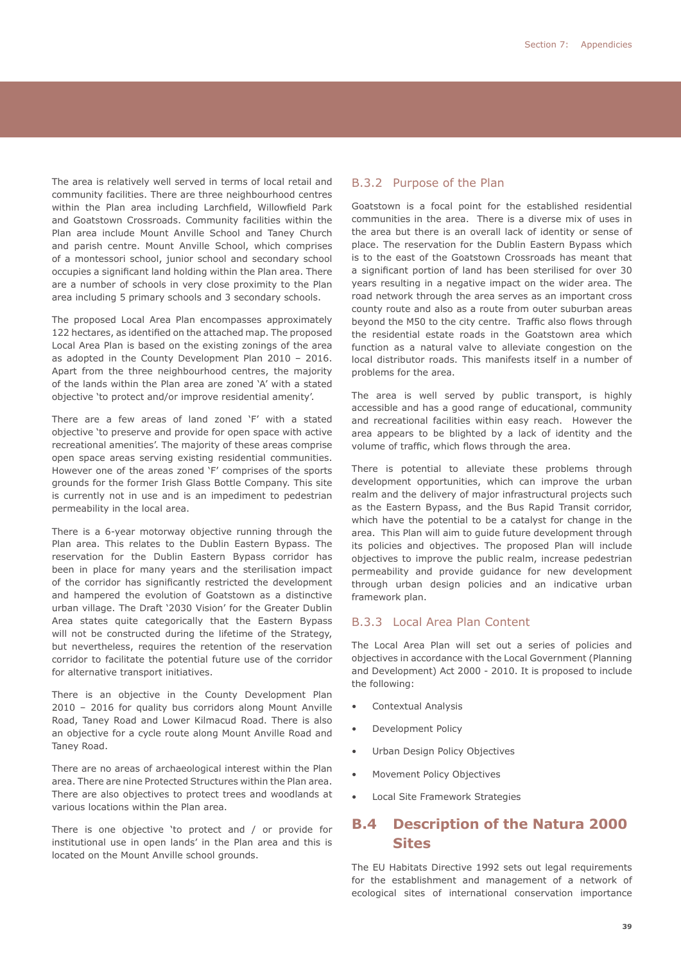The area is relatively well served in terms of local retail and community facilities. There are three neighbourhood centres within the Plan area including Larchfield, Willowfield Park and Goatstown Crossroads. Community facilities within the Plan area include Mount Anville School and Taney Church and parish centre. Mount Anville School, which comprises of a montessori school, junior school and secondary school occupies a significant land holding within the Plan area. There are a number of schools in very close proximity to the Plan area including 5 primary schools and 3 secondary schools.

The proposed Local Area Plan encompasses approximately 122 hectares, as identified on the attached map. The proposed Local Area Plan is based on the existing zonings of the area as adopted in the County Development Plan 2010 – 2016. Apart from the three neighbourhood centres, the majority of the lands within the Plan area are zoned 'A' with a stated objective 'to protect and/or improve residential amenity'.

There are a few areas of land zoned 'F' with a stated objective 'to preserve and provide for open space with active recreational amenities'. The majority of these areas comprise open space areas serving existing residential communities. However one of the areas zoned 'F' comprises of the sports grounds for the former Irish Glass Bottle Company. This site is currently not in use and is an impediment to pedestrian permeability in the local area.

There is a 6-year motorway objective running through the Plan area. This relates to the Dublin Eastern Bypass. The reservation for the Dublin Eastern Bypass corridor has been in place for many years and the sterilisation impact of the corridor has significantly restricted the development and hampered the evolution of Goatstown as a distinctive urban village. The Draft '2030 Vision' for the Greater Dublin Area states quite categorically that the Eastern Bypass will not be constructed during the lifetime of the Strategy, but nevertheless, requires the retention of the reservation corridor to facilitate the potential future use of the corridor for alternative transport initiatives.

There is an objective in the County Development Plan 2010 – 2016 for quality bus corridors along Mount Anville Road, Taney Road and Lower Kilmacud Road. There is also an objective for a cycle route along Mount Anville Road and Taney Road.

There are no areas of archaeological interest within the Plan area. There are nine Protected Structures within the Plan area. There are also objectives to protect trees and woodlands at various locations within the Plan area.

There is one objective 'to protect and / or provide for institutional use in open lands' in the Plan area and this is located on the Mount Anville school grounds.

#### B.3.2 Purpose of the Plan

Goatstown is a focal point for the established residential communities in the area. There is a diverse mix of uses in the area but there is an overall lack of identity or sense of place. The reservation for the Dublin Eastern Bypass which is to the east of the Goatstown Crossroads has meant that a significant portion of land has been sterilised for over 30 years resulting in a negative impact on the wider area. The road network through the area serves as an important cross county route and also as a route from outer suburban areas beyond the M50 to the city centre. Traffic also flows through the residential estate roads in the Goatstown area which function as a natural valve to alleviate congestion on the local distributor roads. This manifests itself in a number of problems for the area.

The area is well served by public transport, is highly accessible and has a good range of educational, community and recreational facilities within easy reach. However the area appears to be blighted by a lack of identity and the volume of traffic, which flows through the area.

There is potential to alleviate these problems through development opportunities, which can improve the urban realm and the delivery of major infrastructural projects such as the Eastern Bypass, and the Bus Rapid Transit corridor, which have the potential to be a catalyst for change in the area. This Plan will aim to guide future development through its policies and objectives. The proposed Plan will include objectives to improve the public realm, increase pedestrian permeability and provide guidance for new development through urban design policies and an indicative urban framework plan.

#### B.3.3 Local Area Plan Content

The Local Area Plan will set out a series of policies and objectives in accordance with the Local Government (Planning and Development) Act 2000 - 2010. It is proposed to include the following:

- Contextual Analysis
- Development Policy
- Urban Design Policy Objectives
- Movement Policy Objectives
- Local Site Framework Strategies

# **B.4 Description of the Natura 2000 Sites**

The EU Habitats Directive 1992 sets out legal requirements for the establishment and management of a network of ecological sites of international conservation importance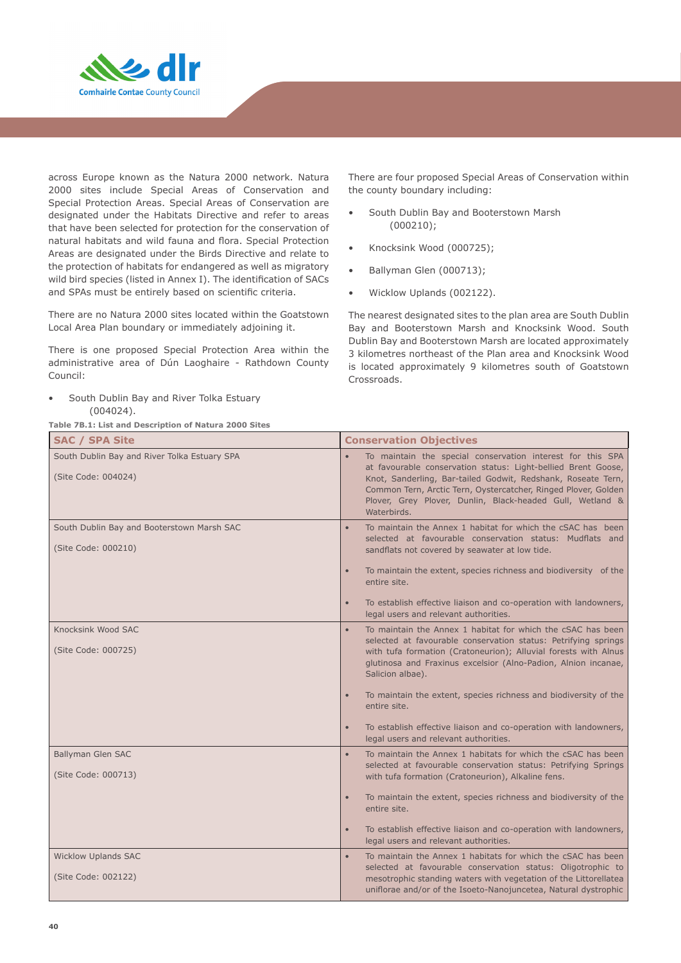

across Europe known as the Natura 2000 network. Natura 2000 sites include Special Areas of Conservation and Special Protection Areas. Special Areas of Conservation are designated under the Habitats Directive and refer to areas that have been selected for protection for the conservation of natural habitats and wild fauna and flora. Special Protection Areas are designated under the Birds Directive and relate to the protection of habitats for endangered as well as migratory wild bird species (listed in Annex I). The identification of SACs and SPAs must be entirely based on scientific criteria.

There are no Natura 2000 sites located within the Goatstown Local Area Plan boundary or immediately adjoining it.

There is one proposed Special Protection Area within the administrative area of Dún Laoghaire - Rathdown County Council:

• South Dublin Bay and River Tolka Estuary (004024).

**Table 7B.1: List and Description of Natura 2000 Sites**

There are four proposed Special Areas of Conservation within the county boundary including:

- South Dublin Bay and Booterstown Marsh (000210);
- Knocksink Wood (000725);
- Ballyman Glen (000713);
- Wicklow Uplands (002122).

The nearest designated sites to the plan area are South Dublin Bay and Booterstown Marsh and Knocksink Wood. South Dublin Bay and Booterstown Marsh are located approximately 3 kilometres northeast of the Plan area and Knocksink Wood is located approximately 9 kilometres south of Goatstown Crossroads.

| <b>SAC / SPA Site</b>                                               | <b>Conservation Objectives</b>                                                                                                                                                                                                                                                                                                                                                                                                                                                                                                 |  |
|---------------------------------------------------------------------|--------------------------------------------------------------------------------------------------------------------------------------------------------------------------------------------------------------------------------------------------------------------------------------------------------------------------------------------------------------------------------------------------------------------------------------------------------------------------------------------------------------------------------|--|
| South Dublin Bay and River Tolka Estuary SPA<br>(Site Code: 004024) | To maintain the special conservation interest for this SPA<br>$\bullet$<br>at favourable conservation status: Light-bellied Brent Goose,<br>Knot, Sanderling, Bar-tailed Godwit, Redshank, Roseate Tern,<br>Common Tern, Arctic Tern, Oystercatcher, Ringed Plover, Golden<br>Plover, Grey Plover, Dunlin, Black-headed Gull, Wetland &<br>Waterbirds.                                                                                                                                                                         |  |
| South Dublin Bay and Booterstown Marsh SAC<br>(Site Code: 000210)   | To maintain the Annex 1 habitat for which the cSAC has been<br>$\bullet$<br>selected at favourable conservation status: Mudflats and<br>sandflats not covered by seawater at low tide.<br>To maintain the extent, species richness and biodiversity of the<br>$\bullet$                                                                                                                                                                                                                                                        |  |
|                                                                     | entire site.<br>To establish effective liaison and co-operation with landowners,<br>$\bullet$<br>legal users and relevant authorities.                                                                                                                                                                                                                                                                                                                                                                                         |  |
| Knocksink Wood SAC<br>(Site Code: 000725)                           | To maintain the Annex 1 habitat for which the cSAC has been<br>$\bullet$<br>selected at favourable conservation status: Petrifying springs<br>with tufa formation (Cratoneurion); Alluvial forests with Alnus<br>glutinosa and Fraxinus excelsior (Alno-Padion, Alnion incanae,<br>Salicion albae).<br>To maintain the extent, species richness and biodiversity of the<br>$\bullet$<br>entire site.<br>To establish effective liaison and co-operation with landowners,<br>$\bullet$<br>legal users and relevant authorities. |  |
| Ballyman Glen SAC<br>(Site Code: 000713)                            | To maintain the Annex 1 habitats for which the cSAC has been<br>$\bullet$<br>selected at favourable conservation status: Petrifying Springs<br>with tufa formation (Cratoneurion), Alkaline fens.<br>To maintain the extent, species richness and biodiversity of the<br>$\bullet$<br>entire site.<br>To establish effective liaison and co-operation with landowners,<br>$\bullet$<br>legal users and relevant authorities.                                                                                                   |  |
| <b>Wicklow Uplands SAC</b><br>(Site Code: 002122)                   | To maintain the Annex 1 habitats for which the cSAC has been<br>$\bullet$<br>selected at favourable conservation status: Oligotrophic to<br>mesotrophic standing waters with vegetation of the Littorellatea<br>uniflorae and/or of the Isoeto-Nanojuncetea, Natural dystrophic                                                                                                                                                                                                                                                |  |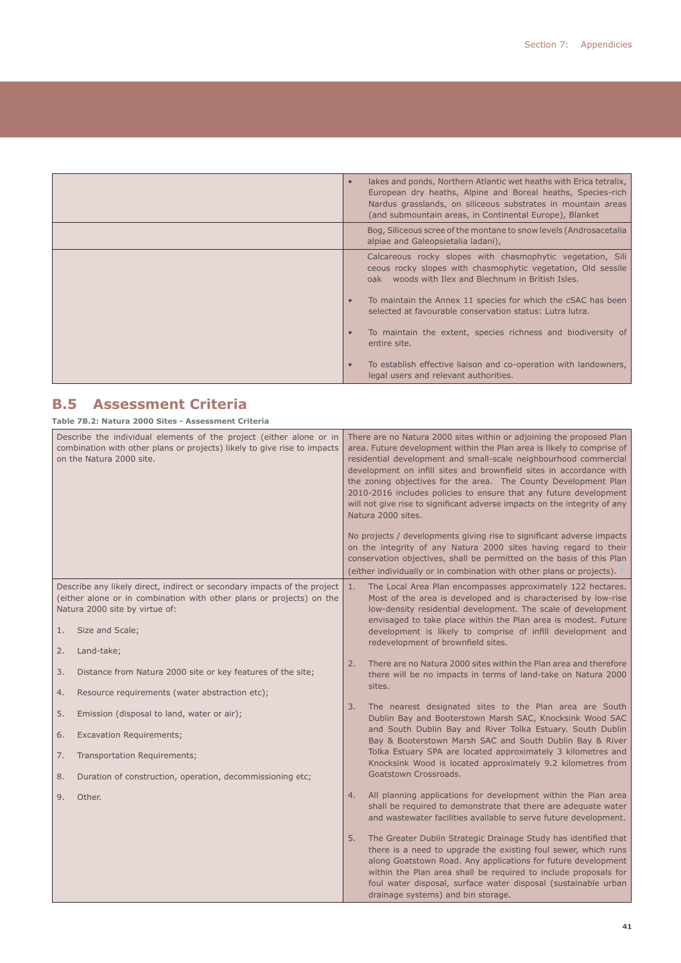| lakes and ponds, Northern Atlantic wet heaths with Erica tetralix,<br>$\bullet$<br>European dry heaths, Alpine and Boreal heaths, Species-rich<br>Nardus grasslands, on siliceous substrates in mountain areas<br>(and submountain areas, in Continental Europe), Blanket |
|---------------------------------------------------------------------------------------------------------------------------------------------------------------------------------------------------------------------------------------------------------------------------|
| Bog, Siliceous scree of the montane to snow levels (Androsacetalia<br>alpiae and Galeopsietalia ladani),                                                                                                                                                                  |
| Calcareous rocky slopes with chasmophytic vegetation, Sili<br>ceous rocky slopes with chasmophytic vegetation, Old sessile<br>oak woods with Ilex and Blechnum in British Isles.                                                                                          |
| To maintain the Annex 11 species for which the CSAC has been<br>$\bullet$<br>selected at favourable conservation status: Lutra lutra.                                                                                                                                     |
| To maintain the extent, species richness and biodiversity of<br>$\bullet$<br>entire site.                                                                                                                                                                                 |
| To establish effective liaison and co-operation with landowners,<br>$\bullet$<br>legal users and relevant authorities.                                                                                                                                                    |

# **B.5 Assessment Criteria**

|                                                                                                                                                                             | Table 7B.2: Natura 2000 Sites - Assessment Criteria                                                                                                                                |                                                                                                                                                                                                                                                                                                                                                                                                                                                                                                                                                                                                               |  |  |
|-----------------------------------------------------------------------------------------------------------------------------------------------------------------------------|------------------------------------------------------------------------------------------------------------------------------------------------------------------------------------|---------------------------------------------------------------------------------------------------------------------------------------------------------------------------------------------------------------------------------------------------------------------------------------------------------------------------------------------------------------------------------------------------------------------------------------------------------------------------------------------------------------------------------------------------------------------------------------------------------------|--|--|
| Describe the individual elements of the project (either alone or in<br>combination with other plans or projects) likely to give rise to impacts<br>on the Natura 2000 site. |                                                                                                                                                                                    | There are no Natura 2000 sites within or adjoining the proposed Plan<br>area. Future development within the Plan area is likely to comprise of<br>residential development and small-scale neighbourhood commercial<br>development on infill sites and brownfield sites in accordance with<br>the zoning objectives for the area. The County Development Plan<br>2010-2016 includes policies to ensure that any future development<br>will not give rise to significant adverse impacts on the integrity of any<br>Natura 2000 sites.<br>No projects / developments giving rise to significant adverse impacts |  |  |
|                                                                                                                                                                             |                                                                                                                                                                                    | on the integrity of any Natura 2000 sites having regard to their<br>conservation objectives, shall be permitted on the basis of this Plan<br>(either individually or in combination with other plans or projects). 4                                                                                                                                                                                                                                                                                                                                                                                          |  |  |
|                                                                                                                                                                             | Describe any likely direct, indirect or secondary impacts of the project<br>(either alone or in combination with other plans or projects) on the<br>Natura 2000 site by virtue of: | 1.<br>The Local Area Plan encompasses approximately 122 hectares.<br>Most of the area is developed and is characterised by low-rise<br>low-density residential development. The scale of development                                                                                                                                                                                                                                                                                                                                                                                                          |  |  |
| 1.                                                                                                                                                                          | Size and Scale;                                                                                                                                                                    | envisaged to take place within the Plan area is modest. Future<br>development is likely to comprise of infill development and<br>redevelopment of brownfield sites.                                                                                                                                                                                                                                                                                                                                                                                                                                           |  |  |
| 2.<br>3.<br>4.                                                                                                                                                              | Land-take;<br>Distance from Natura 2000 site or key features of the site;<br>Resource requirements (water abstraction etc);                                                        | There are no Natura 2000 sites within the Plan area and therefore<br>2.<br>there will be no impacts in terms of land-take on Natura 2000<br>sites.                                                                                                                                                                                                                                                                                                                                                                                                                                                            |  |  |
| 5.<br>6.<br>7.<br>8.                                                                                                                                                        | Emission (disposal to land, water or air);<br><b>Excavation Requirements;</b><br>Transportation Requirements;<br>Duration of construction, operation, decommissioning etc;         | The nearest designated sites to the Plan area are South<br>3.<br>Dublin Bay and Booterstown Marsh SAC, Knocksink Wood SAC<br>and South Dublin Bay and River Tolka Estuary. South Dublin<br>Bay & Booterstown Marsh SAC and South Dublin Bay & River<br>Tolka Estuary SPA are located approximately 3 kilometres and<br>Knocksink Wood is located approximately 9.2 kilometres from<br>Goatstown Crossroads.                                                                                                                                                                                                   |  |  |
| 9.                                                                                                                                                                          | Other.                                                                                                                                                                             | All planning applications for development within the Plan area<br>4.<br>shall be required to demonstrate that there are adequate water<br>and wastewater facilities available to serve future development.                                                                                                                                                                                                                                                                                                                                                                                                    |  |  |
|                                                                                                                                                                             |                                                                                                                                                                                    | The Greater Dublin Strategic Drainage Study has identified that<br>5.<br>there is a need to upgrade the existing foul sewer, which runs<br>along Goatstown Road. Any applications for future development<br>within the Plan area shall be required to include proposals for<br>foul water disposal, surface water disposal (sustainable urban<br>drainage systems) and bin storage.                                                                                                                                                                                                                           |  |  |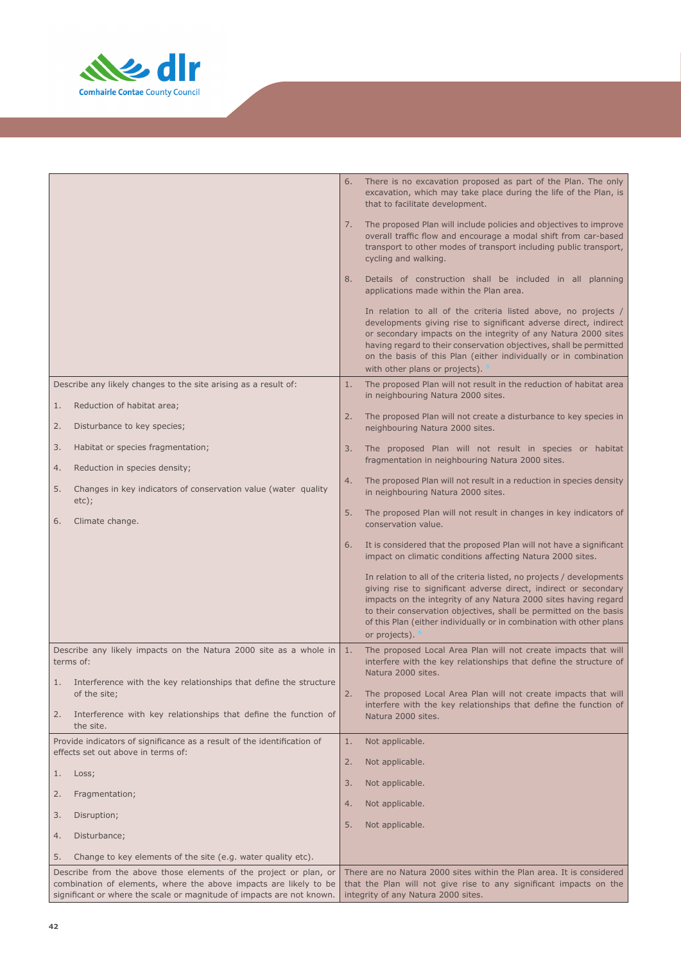

|                                                                                                               | There is no excavation proposed as part of the Plan. The only<br>6.<br>excavation, which may take place during the life of the Plan, is<br>that to facilitate development.                                                                                                                                                                                                       |
|---------------------------------------------------------------------------------------------------------------|----------------------------------------------------------------------------------------------------------------------------------------------------------------------------------------------------------------------------------------------------------------------------------------------------------------------------------------------------------------------------------|
|                                                                                                               | The proposed Plan will include policies and objectives to improve<br>7.<br>overall traffic flow and encourage a modal shift from car-based<br>transport to other modes of transport including public transport,<br>cycling and walking.                                                                                                                                          |
|                                                                                                               | Details of construction shall be included in all planning<br>8.<br>applications made within the Plan area.                                                                                                                                                                                                                                                                       |
|                                                                                                               | In relation to all of the criteria listed above, no projects /<br>developments giving rise to significant adverse direct, indirect<br>or secondary impacts on the integrity of any Natura 2000 sites<br>having regard to their conservation objectives, shall be permitted<br>on the basis of this Plan (either individually or in combination<br>with other plans or projects). |
| Describe any likely changes to the site arising as a result of:                                               | The proposed Plan will not result in the reduction of habitat area<br>1.                                                                                                                                                                                                                                                                                                         |
| Reduction of habitat area;<br>1.                                                                              | in neighbouring Natura 2000 sites.                                                                                                                                                                                                                                                                                                                                               |
| 2.<br>Disturbance to key species;                                                                             | The proposed Plan will not create a disturbance to key species in<br>2.<br>neighbouring Natura 2000 sites.                                                                                                                                                                                                                                                                       |
| 3.<br>Habitat or species fragmentation;                                                                       | The proposed Plan will not result in species or habitat<br>3.                                                                                                                                                                                                                                                                                                                    |
| Reduction in species density;<br>4.                                                                           | fragmentation in neighbouring Natura 2000 sites.                                                                                                                                                                                                                                                                                                                                 |
| 5.<br>Changes in key indicators of conservation value (water quality<br>etc);                                 | The proposed Plan will not result in a reduction in species density<br>4.<br>in neighbouring Natura 2000 sites.                                                                                                                                                                                                                                                                  |
| Climate change.<br>6.                                                                                         | 5.<br>The proposed Plan will not result in changes in key indicators of<br>conservation value.                                                                                                                                                                                                                                                                                   |
|                                                                                                               | It is considered that the proposed Plan will not have a significant<br>6.<br>impact on climatic conditions affecting Natura 2000 sites.                                                                                                                                                                                                                                          |
|                                                                                                               | In relation to all of the criteria listed, no projects / developments<br>giving rise to significant adverse direct, indirect or secondary<br>impacts on the integrity of any Natura 2000 sites having regard<br>to their conservation objectives, shall be permitted on the basis<br>of this Plan (either individually or in combination with other plans<br>or projects).       |
| Describe any likely impacts on the Natura 2000 site as a whole in<br>terms of:                                | The proposed Local Area Plan will not create impacts that will<br>1.<br>interfere with the key relationships that define the structure of<br>Natura 2000 sites.                                                                                                                                                                                                                  |
| Interference with the key relationships that define the structure<br>1.<br>of the site;                       | The proposed Local Area Plan will not create impacts that will<br>2.                                                                                                                                                                                                                                                                                                             |
| Interference with key relationships that define the function of<br>2.<br>the site.                            | interfere with the key relationships that define the function of<br>Natura 2000 sites.                                                                                                                                                                                                                                                                                           |
| Provide indicators of significance as a result of the identification of<br>effects set out above in terms of: | 1.<br>Not applicable.                                                                                                                                                                                                                                                                                                                                                            |
|                                                                                                               | Not applicable.<br>2.                                                                                                                                                                                                                                                                                                                                                            |
| Loss;<br>l.                                                                                                   | Not applicable.<br>3.                                                                                                                                                                                                                                                                                                                                                            |
| Fragmentation;<br>2.                                                                                          | Not applicable.<br>4.                                                                                                                                                                                                                                                                                                                                                            |
| 3.<br>Disruption;                                                                                             | 5.<br>Not applicable.                                                                                                                                                                                                                                                                                                                                                            |
| Disturbance;<br>4.                                                                                            |                                                                                                                                                                                                                                                                                                                                                                                  |
| 5.<br>Change to key elements of the site (e.g. water quality etc).                                            |                                                                                                                                                                                                                                                                                                                                                                                  |
| Describe from the above those elements of the project or plan, or                                             | There are no Natura 2000 sites within the Plan area. It is considered                                                                                                                                                                                                                                                                                                            |
| combination of elements, where the above impacts are likely to be                                             | that the Plan will not give rise to any significant impacts on the                                                                                                                                                                                                                                                                                                               |

integrity of any Natura 2000 sites.

significant or where the scale or magnitude of impacts are not known.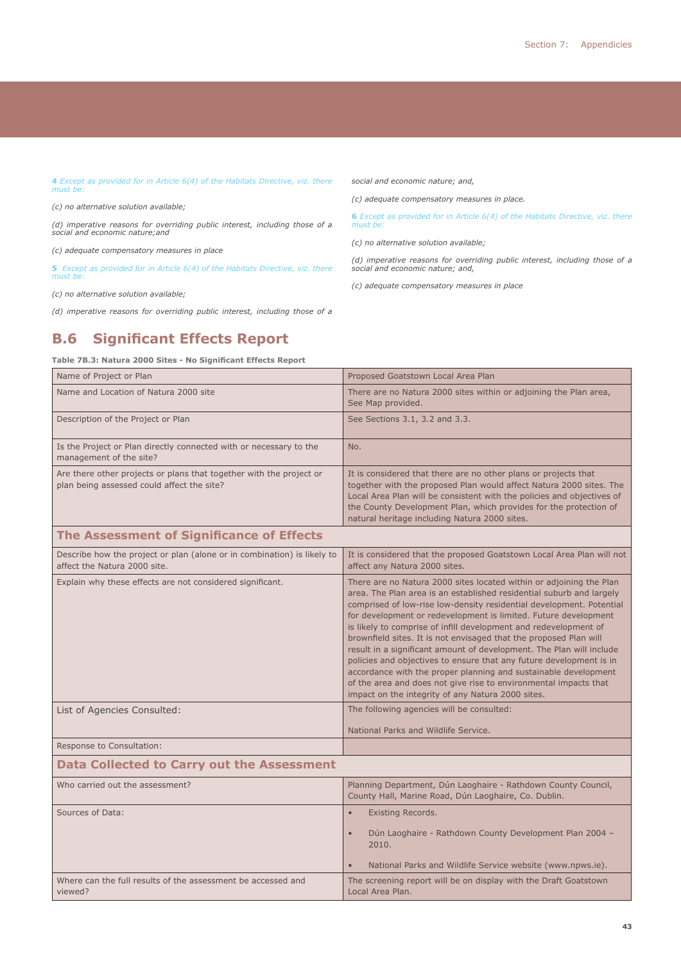**4** *Except as provided for in Article 6(4) of the Habitats Directive, viz. there must be:*

*(c) no alternative solution available;*

*(d) imperative reasons for overriding public interest, including those of a social and economic nature;and*

*(c) adequate compensatory measures in place*

**5** *Except as provided for in Article 6(4) of the Habitats Directive, viz. there must be:*

*(c) no alternative solution available;*

*(d) imperative reasons for overriding public interest, including those of a* 

# **B.6 Significant Effects Report**

#### **Table 7B.3: Natura 2000 Sites - No Significant Effects Report**

Name of Project or Plan Proposed Goatstown Local Area Plan Name and Location of Natura 2000 site There are no Natura 2000 sites within or adjoining the Plan area, See Map provided. Description of the Project or Plan See Sections 3.1, 3.2 and 3.3. Is the Project or Plan directly connected with or necessary to the management of the site? No. Are there other projects or plans that together with the project or plan being assessed could affect the site? It is considered that there are no other plans or projects that together with the proposed Plan would affect Natura 2000 sites. The Local Area Plan will be consistent with the policies and objectives of the County Development Plan, which provides for the protection of natural heritage including Natura 2000 sites. **The Assessment of Significance of Effects**  Describe how the project or plan (alone or in combination) is likely to affect the Natura 2000 site. It is considered that the proposed Goatstown Local Area Plan will not affect any Natura 2000 sites. Explain why these effects are not considered significant. There are no Natura 2000 sites located within or adjoining the Plan area. The Plan area is an established residential suburb and largely comprised of low-rise low-density residential development. Potential for development or redevelopment is limited. Future development is likely to comprise of infill development and redevelopment of brownfield sites. It is not envisaged that the proposed Plan will result in a significant amount of development. The Plan will include policies and objectives to ensure that any future development is in accordance with the proper planning and sustainable development of the area and does not give rise to environmental impacts that impact on the integrity of any Natura 2000 sites. List of Agencies Consulted: The following agencies will be consulted: National Parks and Wildlife Service. Response to Consultation: **Data Collected to Carry out the Assessment**  Who carried out the assessment? Planning Department, Dún Laoghaire - Rathdown County Council, County Hall, Marine Road, Dún Laoghaire, Co. Dublin. Sources of Data: • Existing Records. • Dún Laoghaire - Rathdown County Development Plan 2004 – 2010. • National Parks and Wildlife Service website (www.npws.ie). Where can the full results of the assessment be accessed and viewed? The screening report will be on display with the Draft Goatstown Local Area Plan.

*social and economic nature; and,*

*(c) no alternative solution available;*

*social and economic nature; and,*

must be

*(c) adequate compensatory measures in place.* 

*(c) adequate compensatory measures in place*

**6** *Except as provided for in Article 6(4) of the Habitats Directive, viz. there* 

*(d) imperative reasons for overriding public interest, including those of a*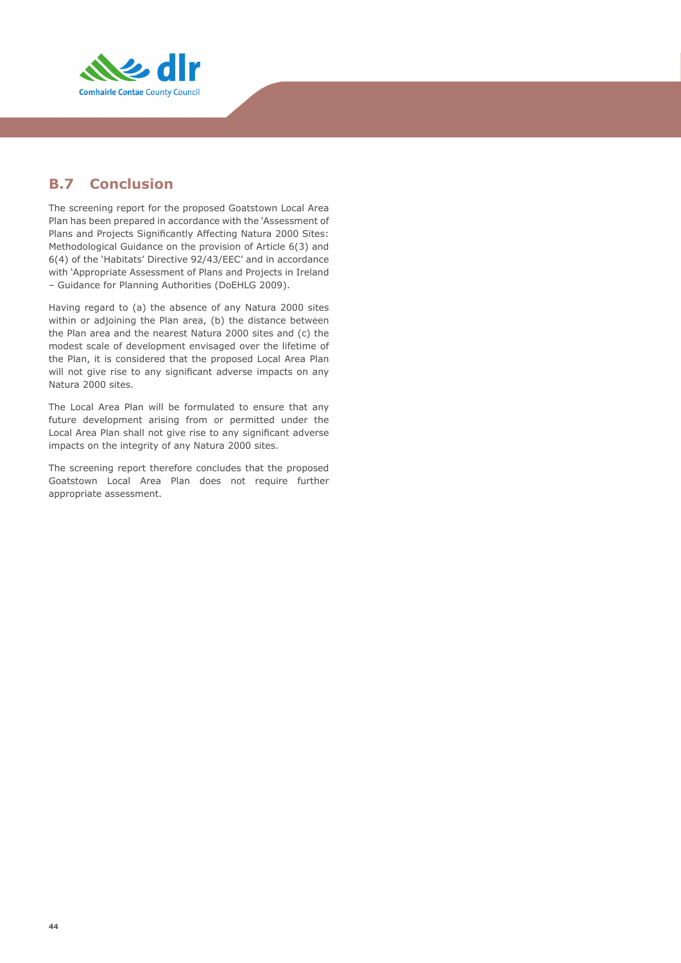

# **B.7 Conclusion**

The screening report for the proposed Goatstown Local Area Plan has been prepared in accordance with the 'Assessment of Plans and Projects Significantly Affecting Natura 2000 Sites: Methodological Guidance on the provision of Article 6(3) and 6(4) of the 'Habitats' Directive 92/43/EEC' and in accordance with 'Appropriate Assessment of Plans and Projects in Ireland – Guidance for Planning Authorities (DoEHLG 2009).

Having regard to (a) the absence of any Natura 2000 sites within or adjoining the Plan area, (b) the distance between the Plan area and the nearest Natura 2000 sites and (c) the modest scale of development envisaged over the lifetime of the Plan, it is considered that the proposed Local Area Plan will not give rise to any significant adverse impacts on any Natura 2000 sites.

The Local Area Plan will be formulated to ensure that any future development arising from or permitted under the Local Area Plan shall not give rise to any significant adverse impacts on the integrity of any Natura 2000 sites.

The screening report therefore concludes that the proposed Goatstown Local Area Plan does not require further appropriate assessment.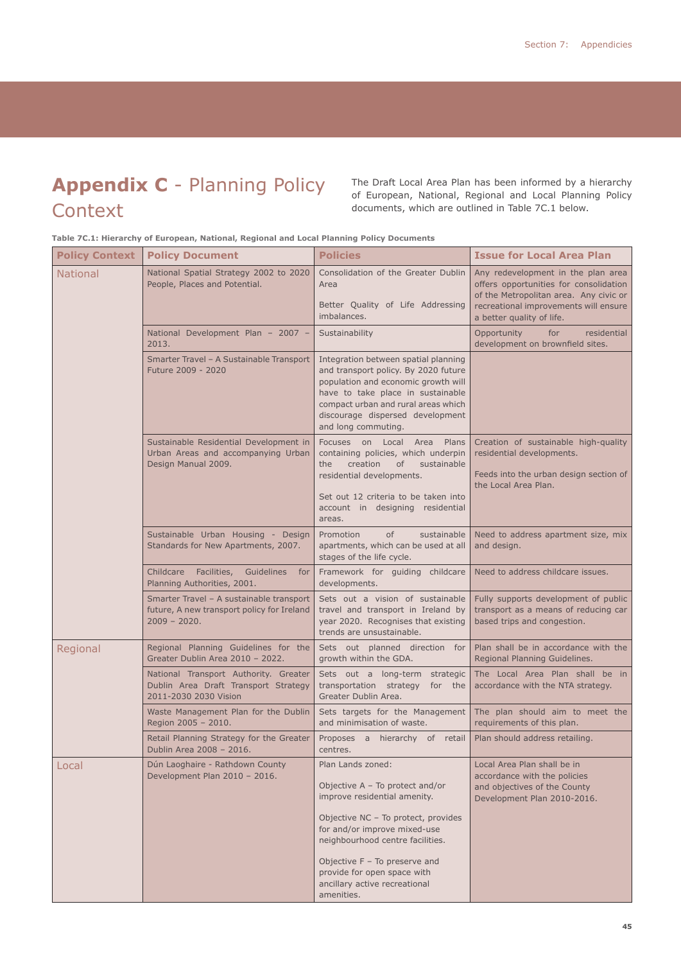# **Appendix C** - Planning Policy **Context**

The Draft Local Area Plan has been informed by a hierarchy of European, National, Regional and Local Planning Policy documents, which are outlined in Table 7C.1 below.

**Table 7C.1: Hierarchy of European, National, Regional and Local Planning Policy Documents**

| <b>Policy Context</b> | <b>Policy Document</b>                                                                                                                                                | <b>Policies</b>                                                                                                                                                                                                                                                                                                  | <b>Issue for Local Area Plan</b>                                                                                                                                                             |
|-----------------------|-----------------------------------------------------------------------------------------------------------------------------------------------------------------------|------------------------------------------------------------------------------------------------------------------------------------------------------------------------------------------------------------------------------------------------------------------------------------------------------------------|----------------------------------------------------------------------------------------------------------------------------------------------------------------------------------------------|
| <b>National</b>       | National Spatial Strategy 2002 to 2020<br>People, Places and Potential.                                                                                               | Consolidation of the Greater Dublin<br>Area<br>Better Quality of Life Addressing<br>imbalances.                                                                                                                                                                                                                  | Any redevelopment in the plan area<br>offers opportunities for consolidation<br>of the Metropolitan area. Any civic or<br>recreational improvements will ensure<br>a better quality of life. |
|                       | National Development Plan - 2007 -<br>2013.                                                                                                                           | Sustainability                                                                                                                                                                                                                                                                                                   | Opportunity<br>for<br>residential<br>development on brownfield sites.                                                                                                                        |
|                       | Smarter Travel - A Sustainable Transport<br>Future 2009 - 2020<br>Sustainable Residential Development in<br>Urban Areas and accompanying Urban<br>Design Manual 2009. | Integration between spatial planning<br>and transport policy. By 2020 future<br>population and economic growth will<br>have to take place in sustainable<br>compact urban and rural areas which<br>discourage dispersed development<br>and long commuting.                                                       |                                                                                                                                                                                              |
|                       |                                                                                                                                                                       | Focuses on Local Area<br>Plans<br>containing policies, which underpin<br>creation<br>the<br>of<br>sustainable<br>residential developments.<br>Set out 12 criteria to be taken into<br>account in designing residential<br>areas.                                                                                 | Creation of sustainable high-quality<br>residential developments.<br>Feeds into the urban design section of<br>the Local Area Plan.                                                          |
|                       | Sustainable Urban Housing - Design<br>Standards for New Apartments, 2007.                                                                                             | of<br>Promotion<br>sustainable<br>apartments, which can be used at all<br>stages of the life cycle.                                                                                                                                                                                                              | Need to address apartment size, mix<br>and design.                                                                                                                                           |
|                       | Childcare Facilities,<br>Guidelines<br>for<br>Planning Authorities, 2001.                                                                                             | Framework for guiding childcare<br>developments.                                                                                                                                                                                                                                                                 | Need to address childcare issues.                                                                                                                                                            |
|                       | Smarter Travel - A sustainable transport<br>future, A new transport policy for Ireland<br>$2009 - 2020.$                                                              | Sets out a vision of sustainable<br>travel and transport in Ireland by<br>year 2020. Recognises that existing<br>trends are unsustainable.                                                                                                                                                                       | Fully supports development of public<br>transport as a means of reducing car<br>based trips and congestion.                                                                                  |
| Regional              | Regional Planning Guidelines for the<br>Greater Dublin Area 2010 - 2022.                                                                                              | Sets out planned direction for<br>growth within the GDA.                                                                                                                                                                                                                                                         | Plan shall be in accordance with the<br>Regional Planning Guidelines.                                                                                                                        |
|                       | National Transport Authority. Greater<br>Dublin Area Draft Transport Strategy<br>2011-2030 2030 Vision                                                                | Sets out a long-term strategic<br>transportation strategy<br>for the<br>Greater Dublin Area.                                                                                                                                                                                                                     | The Local Area Plan shall be in<br>accordance with the NTA strategy.                                                                                                                         |
|                       | Waste Management Plan for the Dublin<br>Region 2005 - 2010.                                                                                                           | Sets targets for the Management<br>and minimisation of waste.                                                                                                                                                                                                                                                    | The plan should aim to meet the<br>requirements of this plan.                                                                                                                                |
|                       | Retail Planning Strategy for the Greater<br>Dublin Area 2008 - 2016.                                                                                                  | Proposes a hierarchy of retail<br>centres.                                                                                                                                                                                                                                                                       | Plan should address retailing.                                                                                                                                                               |
| Local                 | Dún Laoghaire - Rathdown County<br>Development Plan 2010 - 2016.                                                                                                      | Plan Lands zoned:<br>Objective $A - To$ protect and/or<br>improve residential amenity.<br>Objective NC - To protect, provides<br>for and/or improve mixed-use<br>neighbourhood centre facilities.<br>Objective F - To preserve and<br>provide for open space with<br>ancillary active recreational<br>amenities. | Local Area Plan shall be in<br>accordance with the policies<br>and objectives of the County<br>Development Plan 2010-2016.                                                                   |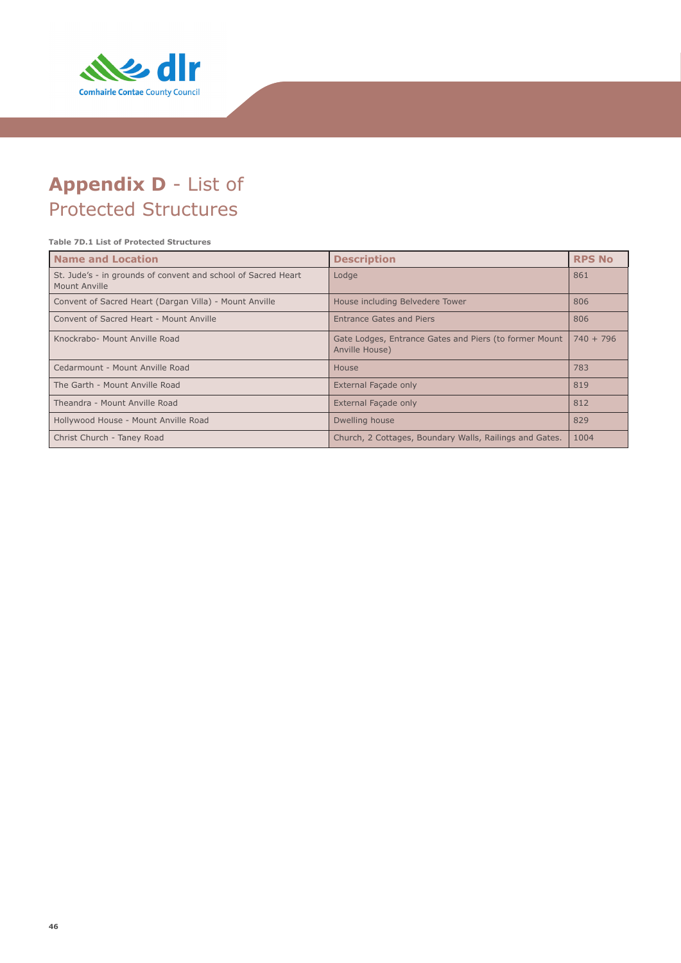

# **Appendix D** - List of Protected Structures

#### **Table 7D.1 List of Protected Structures**

| Name and Location                                                              | <b>Description</b>                                                       | <b>RPS No</b> |
|--------------------------------------------------------------------------------|--------------------------------------------------------------------------|---------------|
| St. Jude's - in grounds of convent and school of Sacred Heart<br>Mount Anville | Lodge                                                                    | 861           |
| Convent of Sacred Heart (Dargan Villa) - Mount Anville                         | House including Belvedere Tower                                          | 806           |
| Convent of Sacred Heart - Mount Anville                                        | Entrance Gates and Piers                                                 | 806           |
| Knockrabo- Mount Anville Road                                                  | Gate Lodges, Entrance Gates and Piers (to former Mount<br>Anville House) | $740 + 796$   |
| Cedarmount - Mount Anville Road                                                | House                                                                    | 783           |
| The Garth - Mount Anville Road                                                 | External Facade only                                                     | 819           |
| Theandra - Mount Anville Road                                                  | External Facade only                                                     | 812           |
| Hollywood House - Mount Anville Road                                           | Dwelling house                                                           | 829           |
| Christ Church - Taney Road                                                     | Church, 2 Cottages, Boundary Walls, Railings and Gates.                  | 1004          |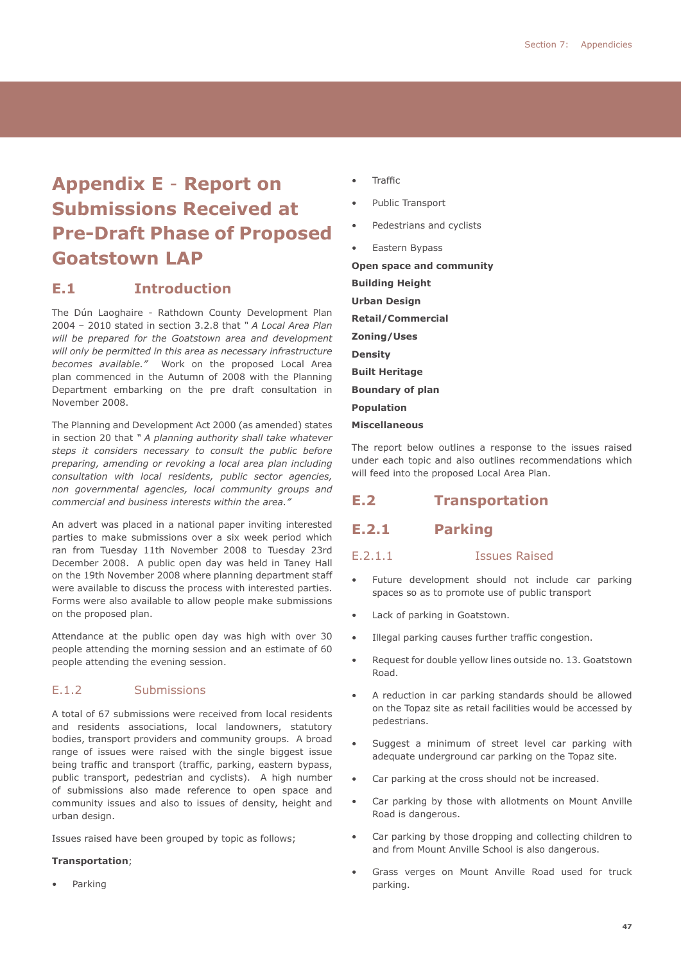# **Appendix E** - **Report on Submissions Received at Pre-Draft Phase of Proposed Goatstown LAP**

# **E.1 Introduction**

The Dún Laoghaire - Rathdown County Development Plan 2004 – 2010 stated in section 3.2.8 that *" A Local Area Plan will be prepared for the Goatstown area and development will only be permitted in this area as necessary infrastructure becomes available."* Work on the proposed Local Area plan commenced in the Autumn of 2008 with the Planning Department embarking on the pre draft consultation in November 2008.

The Planning and Development Act 2000 (as amended) states in section 20 that *" A planning authority shall take whatever steps it considers necessary to consult the public before preparing, amending or revoking a local area plan including consultation with local residents, public sector agencies, non governmental agencies, local community groups and commercial and business interests within the area."*

An advert was placed in a national paper inviting interested parties to make submissions over a six week period which ran from Tuesday 11th November 2008 to Tuesday 23rd December 2008. A public open day was held in Taney Hall on the 19th November 2008 where planning department staff were available to discuss the process with interested parties. Forms were also available to allow people make submissions on the proposed plan.

Attendance at the public open day was high with over 30 people attending the morning session and an estimate of 60 people attending the evening session.

#### E.1.2 Submissions

A total of 67 submissions were received from local residents and residents associations, local landowners, statutory bodies, transport providers and community groups. A broad range of issues were raised with the single biggest issue being traffic and transport (traffic, parking, eastern bypass, public transport, pedestrian and cyclists). A high number of submissions also made reference to open space and community issues and also to issues of density, height and urban design.

Issues raised have been grouped by topic as follows;

#### **Transportation**;

• Parking

- **Traffic**
- Public Transport
- Pedestrians and cyclists
- Eastern Bypass

**Open space and community Building Height Urban Design Retail/Commercial Zoning/Uses Density Built Heritage Boundary of plan Population Miscellaneous**

The report below outlines a response to the issues raised under each topic and also outlines recommendations which will feed into the proposed Local Area Plan.

# **E.2 Transportation**

#### **E.2.1 Parking**

#### E.2.1.1 Issues Raised

- Future development should not include car parking spaces so as to promote use of public transport
- Lack of parking in Goatstown.
- Illegal parking causes further traffic congestion.
- Request for double yellow lines outside no. 13. Goatstown Road.
- A reduction in car parking standards should be allowed on the Topaz site as retail facilities would be accessed by pedestrians.
- Suggest a minimum of street level car parking with adequate underground car parking on the Topaz site.
- Car parking at the cross should not be increased.
- Car parking by those with allotments on Mount Anville Road is dangerous.
- Car parking by those dropping and collecting children to and from Mount Anville School is also dangerous.
- Grass verges on Mount Anville Road used for truck parking.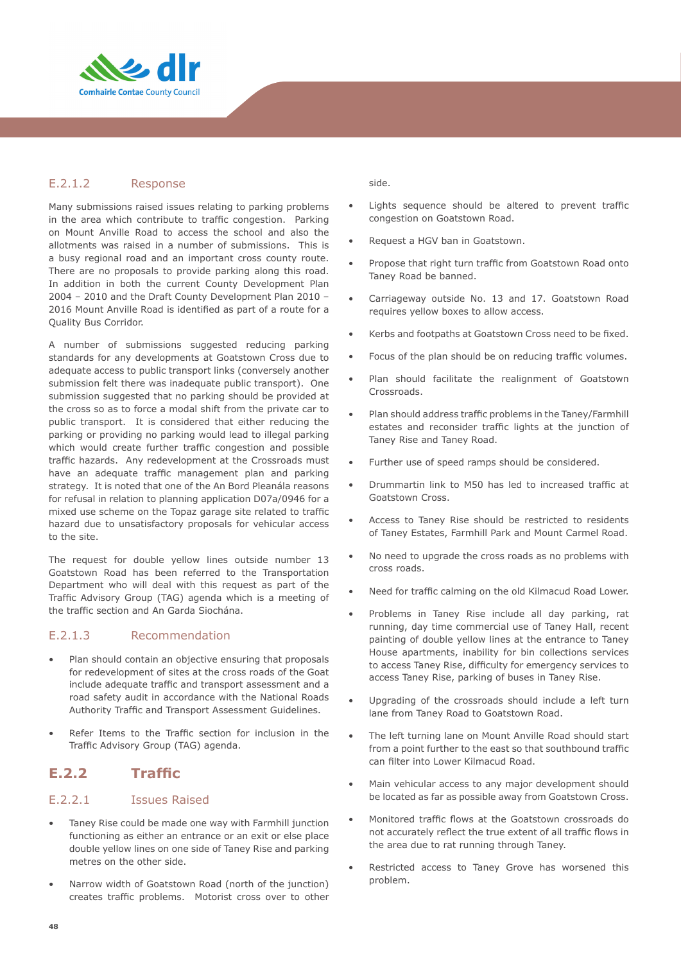

#### E.2.1.2 Response

Many submissions raised issues relating to parking problems in the area which contribute to traffic congestion. Parking on Mount Anville Road to access the school and also the allotments was raised in a number of submissions. This is a busy regional road and an important cross county route. There are no proposals to provide parking along this road. In addition in both the current County Development Plan 2004 – 2010 and the Draft County Development Plan 2010 – 2016 Mount Anville Road is identified as part of a route for a Quality Bus Corridor.

A number of submissions suggested reducing parking standards for any developments at Goatstown Cross due to adequate access to public transport links (conversely another submission felt there was inadequate public transport). One submission suggested that no parking should be provided at the cross so as to force a modal shift from the private car to public transport. It is considered that either reducing the parking or providing no parking would lead to illegal parking which would create further traffic congestion and possible traffic hazards. Any redevelopment at the Crossroads must have an adequate traffic management plan and parking strategy. It is noted that one of the An Bord Pleanála reasons for refusal in relation to planning application D07a/0946 for a mixed use scheme on the Topaz garage site related to traffic hazard due to unsatisfactory proposals for vehicular access to the site.

The request for double yellow lines outside number 13 Goatstown Road has been referred to the Transportation Department who will deal with this request as part of the Traffic Advisory Group (TAG) agenda which is a meeting of the traffic section and An Garda Siochána.

#### E.2.1.3 Recommendation

- Plan should contain an objective ensuring that proposals for redevelopment of sites at the cross roads of the Goat include adequate traffic and transport assessment and a road safety audit in accordance with the National Roads Authority Traffic and Transport Assessment Guidelines.
- Refer Items to the Traffic section for inclusion in the Traffic Advisory Group (TAG) agenda.

# **E.2.2 Traffic**

#### E.2.2.1 Issues Raised

- Taney Rise could be made one way with Farmhill junction functioning as either an entrance or an exit or else place double yellow lines on one side of Taney Rise and parking metres on the other side.
- Narrow width of Goatstown Road (north of the junction) creates traffic problems. Motorist cross over to other

side.

- Lights sequence should be altered to prevent traffic congestion on Goatstown Road.
- Request a HGV ban in Goatstown.
- Propose that right turn traffic from Goatstown Road onto Taney Road be banned.
- Carriageway outside No. 13 and 17. Goatstown Road requires yellow boxes to allow access.
- Kerbs and footpaths at Goatstown Cross need to be fixed.
- Focus of the plan should be on reducing traffic volumes.
- Plan should facilitate the realignment of Goatstown Crossroads.
- Plan should address traffic problems in the Taney/Farmhill estates and reconsider traffic lights at the junction of Taney Rise and Taney Road.
- Further use of speed ramps should be considered.
- Drummartin link to M50 has led to increased traffic at Goatstown Cross.
- Access to Taney Rise should be restricted to residents of Taney Estates, Farmhill Park and Mount Carmel Road.
- No need to upgrade the cross roads as no problems with cross roads.
- Need for traffic calming on the old Kilmacud Road Lower.
- Problems in Taney Rise include all day parking, rat running, day time commercial use of Taney Hall, recent painting of double yellow lines at the entrance to Taney House apartments, inability for bin collections services to access Taney Rise, difficulty for emergency services to access Taney Rise, parking of buses in Taney Rise.
- Upgrading of the crossroads should include a left turn lane from Taney Road to Goatstown Road.
- The left turning lane on Mount Anville Road should start from a point further to the east so that southbound traffic can filter into Lower Kilmacud Road.
- Main vehicular access to any major development should be located as far as possible away from Goatstown Cross.
- Monitored traffic flows at the Goatstown crossroads do not accurately reflect the true extent of all traffic flows in the area due to rat running through Taney.
- Restricted access to Taney Grove has worsened this problem.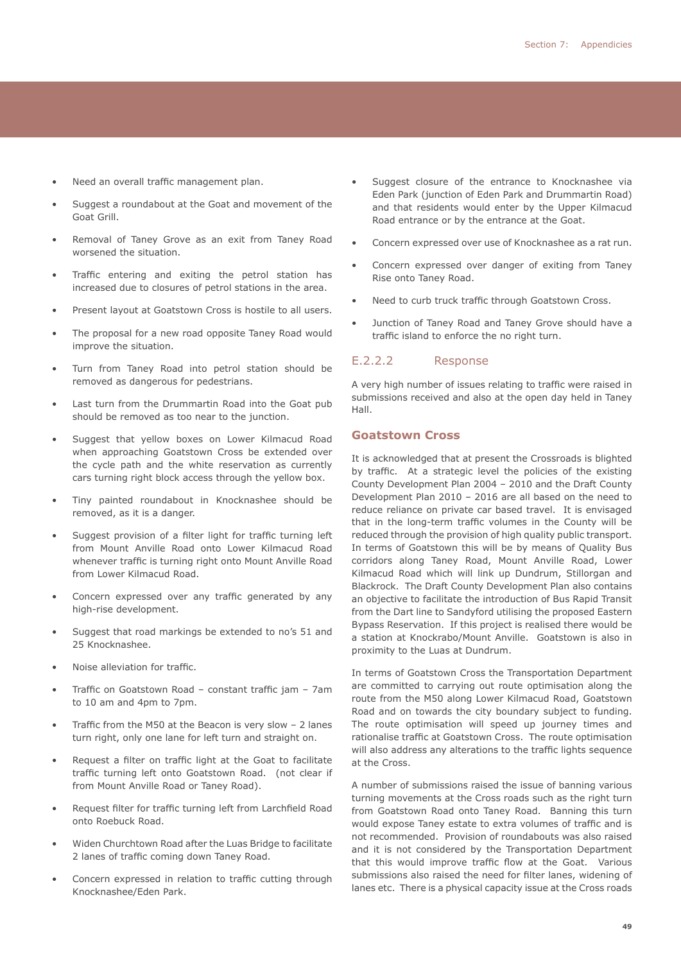- Need an overall traffic management plan.
- Suggest a roundabout at the Goat and movement of the Goat Grill.
- Removal of Taney Grove as an exit from Taney Road worsened the situation.
- Traffic entering and exiting the petrol station has increased due to closures of petrol stations in the area.
- Present layout at Goatstown Cross is hostile to all users.
- The proposal for a new road opposite Taney Road would improve the situation.
- Turn from Taney Road into petrol station should be removed as dangerous for pedestrians.
- Last turn from the Drummartin Road into the Goat pub should be removed as too near to the junction.
- Suggest that yellow boxes on Lower Kilmacud Road when approaching Goatstown Cross be extended over the cycle path and the white reservation as currently cars turning right block access through the yellow box.
- Tiny painted roundabout in Knocknashee should be removed, as it is a danger.
- Suggest provision of a filter light for traffic turning left from Mount Anville Road onto Lower Kilmacud Road whenever traffic is turning right onto Mount Anville Road from Lower Kilmacud Road.
- Concern expressed over any traffic generated by any high-rise development.
- Suggest that road markings be extended to no's 51 and 25 Knocknashee.
- Noise alleviation for traffic.
- Traffic on Goatstown Road constant traffic jam 7am to 10 am and 4pm to 7pm.
- Traffic from the M50 at the Beacon is very slow 2 lanes turn right, only one lane for left turn and straight on.
- Request a filter on traffic light at the Goat to facilitate traffic turning left onto Goatstown Road. (not clear if from Mount Anville Road or Taney Road).
- Request filter for traffic turning left from Larchfield Road onto Roebuck Road.
- Widen Churchtown Road after the Luas Bridge to facilitate 2 lanes of traffic coming down Taney Road.
- Concern expressed in relation to traffic cutting through Knocknashee/Eden Park.
- Suggest closure of the entrance to Knocknashee via Eden Park (junction of Eden Park and Drummartin Road) and that residents would enter by the Upper Kilmacud Road entrance or by the entrance at the Goat.
- Concern expressed over use of Knocknashee as a rat run.
- Concern expressed over danger of exiting from Taney Rise onto Taney Road.
- Need to curb truck traffic through Goatstown Cross.
- Junction of Taney Road and Taney Grove should have a traffic island to enforce the no right turn.

#### E.2.2.2 Response

A very high number of issues relating to traffic were raised in submissions received and also at the open day held in Taney Hall.

#### **Goatstown Cross**

It is acknowledged that at present the Crossroads is blighted by traffic. At a strategic level the policies of the existing County Development Plan 2004 – 2010 and the Draft County Development Plan 2010 – 2016 are all based on the need to reduce reliance on private car based travel. It is envisaged that in the long-term traffic volumes in the County will be reduced through the provision of high quality public transport. In terms of Goatstown this will be by means of Quality Bus corridors along Taney Road, Mount Anville Road, Lower Kilmacud Road which will link up Dundrum, Stillorgan and Blackrock. The Draft County Development Plan also contains an objective to facilitate the introduction of Bus Rapid Transit from the Dart line to Sandyford utilising the proposed Eastern Bypass Reservation. If this project is realised there would be a station at Knockrabo/Mount Anville. Goatstown is also in proximity to the Luas at Dundrum.

In terms of Goatstown Cross the Transportation Department are committed to carrying out route optimisation along the route from the M50 along Lower Kilmacud Road, Goatstown Road and on towards the city boundary subject to funding. The route optimisation will speed up journey times and rationalise traffic at Goatstown Cross. The route optimisation will also address any alterations to the traffic lights sequence at the Cross.

A number of submissions raised the issue of banning various turning movements at the Cross roads such as the right turn from Goatstown Road onto Taney Road. Banning this turn would expose Taney estate to extra volumes of traffic and is not recommended. Provision of roundabouts was also raised and it is not considered by the Transportation Department that this would improve traffic flow at the Goat. Various submissions also raised the need for filter lanes, widening of lanes etc. There is a physical capacity issue at the Cross roads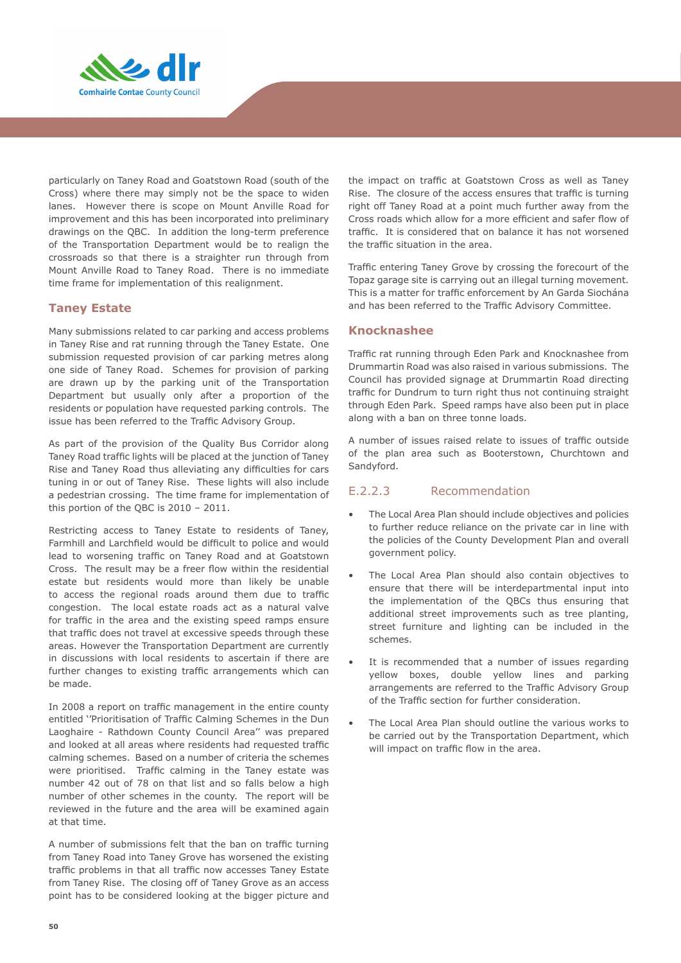

particularly on Taney Road and Goatstown Road (south of the Cross) where there may simply not be the space to widen lanes. However there is scope on Mount Anville Road for improvement and this has been incorporated into preliminary drawings on the QBC. In addition the long-term preference of the Transportation Department would be to realign the crossroads so that there is a straighter run through from Mount Anville Road to Taney Road. There is no immediate time frame for implementation of this realignment.

#### **Taney Estate**

Many submissions related to car parking and access problems in Taney Rise and rat running through the Taney Estate. One submission requested provision of car parking metres along one side of Taney Road. Schemes for provision of parking are drawn up by the parking unit of the Transportation Department but usually only after a proportion of the residents or population have requested parking controls. The issue has been referred to the Traffic Advisory Group.

As part of the provision of the Quality Bus Corridor along Taney Road traffic lights will be placed at the junction of Taney Rise and Taney Road thus alleviating any difficulties for cars tuning in or out of Taney Rise. These lights will also include a pedestrian crossing. The time frame for implementation of this portion of the QBC is 2010 – 2011.

Restricting access to Taney Estate to residents of Taney, Farmhill and Larchfield would be difficult to police and would lead to worsening traffic on Taney Road and at Goatstown Cross. The result may be a freer flow within the residential estate but residents would more than likely be unable to access the regional roads around them due to traffic congestion. The local estate roads act as a natural valve for traffic in the area and the existing speed ramps ensure that traffic does not travel at excessive speeds through these areas. However the Transportation Department are currently in discussions with local residents to ascertain if there are further changes to existing traffic arrangements which can be made.

In 2008 a report on traffic management in the entire county entitled ''Prioritisation of Traffic Calming Schemes in the Dun Laoghaire - Rathdown County Council Area'' was prepared and looked at all areas where residents had requested traffic calming schemes. Based on a number of criteria the schemes were prioritised. Traffic calming in the Taney estate was number 42 out of 78 on that list and so falls below a high number of other schemes in the county. The report will be reviewed in the future and the area will be examined again at that time.

A number of submissions felt that the ban on traffic turning from Taney Road into Taney Grove has worsened the existing traffic problems in that all traffic now accesses Taney Estate from Taney Rise. The closing off of Taney Grove as an access point has to be considered looking at the bigger picture and

the impact on traffic at Goatstown Cross as well as Taney Rise. The closure of the access ensures that traffic is turning right off Taney Road at a point much further away from the Cross roads which allow for a more efficient and safer flow of traffic. It is considered that on balance it has not worsened the traffic situation in the area.

Traffic entering Taney Grove by crossing the forecourt of the Topaz garage site is carrying out an illegal turning movement. This is a matter for traffic enforcement by An Garda Siochána and has been referred to the Traffic Advisory Committee.

#### **Knocknashee**

Traffic rat running through Eden Park and Knocknashee from Drummartin Road was also raised in various submissions. The Council has provided signage at Drummartin Road directing traffic for Dundrum to turn right thus not continuing straight through Eden Park. Speed ramps have also been put in place along with a ban on three tonne loads.

A number of issues raised relate to issues of traffic outside of the plan area such as Booterstown, Churchtown and Sandyford.

#### E.2.2.3 Recommendation

- The Local Area Plan should include objectives and policies to further reduce reliance on the private car in line with the policies of the County Development Plan and overall government policy.
- The Local Area Plan should also contain objectives to ensure that there will be interdepartmental input into the implementation of the QBCs thus ensuring that additional street improvements such as tree planting, street furniture and lighting can be included in the schemes.
- It is recommended that a number of issues regarding yellow boxes, double yellow lines and parking arrangements are referred to the Traffic Advisory Group of the Traffic section for further consideration.
- The Local Area Plan should outline the various works to be carried out by the Transportation Department, which will impact on traffic flow in the area.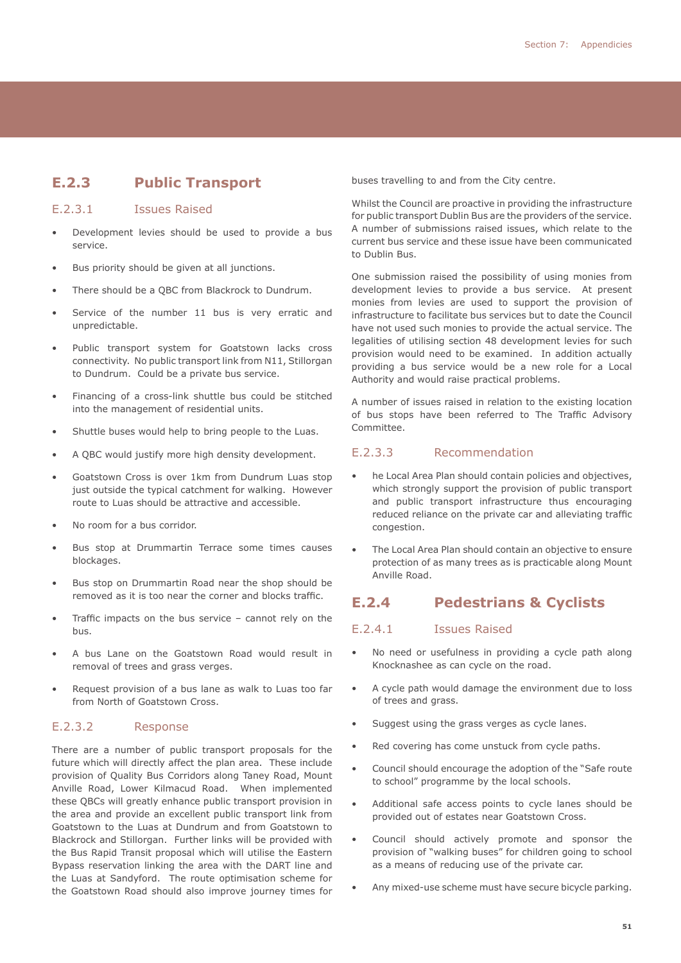# **E.2.3 Public Transport**

#### E.2.3.1 Issues Raised

- Development levies should be used to provide a bus service.
- Bus priority should be given at all junctions.
- There should be a QBC from Blackrock to Dundrum.
- Service of the number 11 bus is very erratic and unpredictable.
- Public transport system for Goatstown lacks cross connectivity. No public transport link from N11, Stillorgan to Dundrum. Could be a private bus service.
- Financing of a cross-link shuttle bus could be stitched into the management of residential units.
- Shuttle buses would help to bring people to the Luas.
- A QBC would justify more high density development.
- Goatstown Cross is over 1km from Dundrum Luas stop just outside the typical catchment for walking. However route to Luas should be attractive and accessible.
- No room for a bus corridor.
- Bus stop at Drummartin Terrace some times causes blockages.
- Bus stop on Drummartin Road near the shop should be removed as it is too near the corner and blocks traffic.
- Traffic impacts on the bus service cannot rely on the bus.
- A bus Lane on the Goatstown Road would result in removal of trees and grass verges.
- Request provision of a bus lane as walk to Luas too far from North of Goatstown Cross.

#### E.2.3.2 Response

There are a number of public transport proposals for the future which will directly affect the plan area. These include provision of Quality Bus Corridors along Taney Road, Mount Anville Road, Lower Kilmacud Road. When implemented these QBCs will greatly enhance public transport provision in the area and provide an excellent public transport link from Goatstown to the Luas at Dundrum and from Goatstown to Blackrock and Stillorgan. Further links will be provided with the Bus Rapid Transit proposal which will utilise the Eastern Bypass reservation linking the area with the DART line and the Luas at Sandyford. The route optimisation scheme for the Goatstown Road should also improve journey times for

buses travelling to and from the City centre.

Whilst the Council are proactive in providing the infrastructure for public transport Dublin Bus are the providers of the service. A number of submissions raised issues, which relate to the current bus service and these issue have been communicated to Dublin Bus.

One submission raised the possibility of using monies from development levies to provide a bus service. At present monies from levies are used to support the provision of infrastructure to facilitate bus services but to date the Council have not used such monies to provide the actual service. The legalities of utilising section 48 development levies for such provision would need to be examined. In addition actually providing a bus service would be a new role for a Local Authority and would raise practical problems.

A number of issues raised in relation to the existing location of bus stops have been referred to The Traffic Advisory Committee.

#### E.2.3.3 Recommendation

- he Local Area Plan should contain policies and objectives, which strongly support the provision of public transport and public transport infrastructure thus encouraging reduced reliance on the private car and alleviating traffic congestion.
- The Local Area Plan should contain an objective to ensure protection of as many trees as is practicable along Mount Anville Road.

### **E.2.4 Pedestrians & Cyclists**

#### E.2.4.1 Issues Raised

- No need or usefulness in providing a cycle path along Knocknashee as can cycle on the road.
- A cycle path would damage the environment due to loss of trees and grass.
- Suggest using the grass verges as cycle lanes.
- Red covering has come unstuck from cycle paths.
- Council should encourage the adoption of the "Safe route to school" programme by the local schools.
- Additional safe access points to cycle lanes should be provided out of estates near Goatstown Cross.
- Council should actively promote and sponsor the provision of "walking buses" for children going to school as a means of reducing use of the private car.
- Any mixed-use scheme must have secure bicycle parking.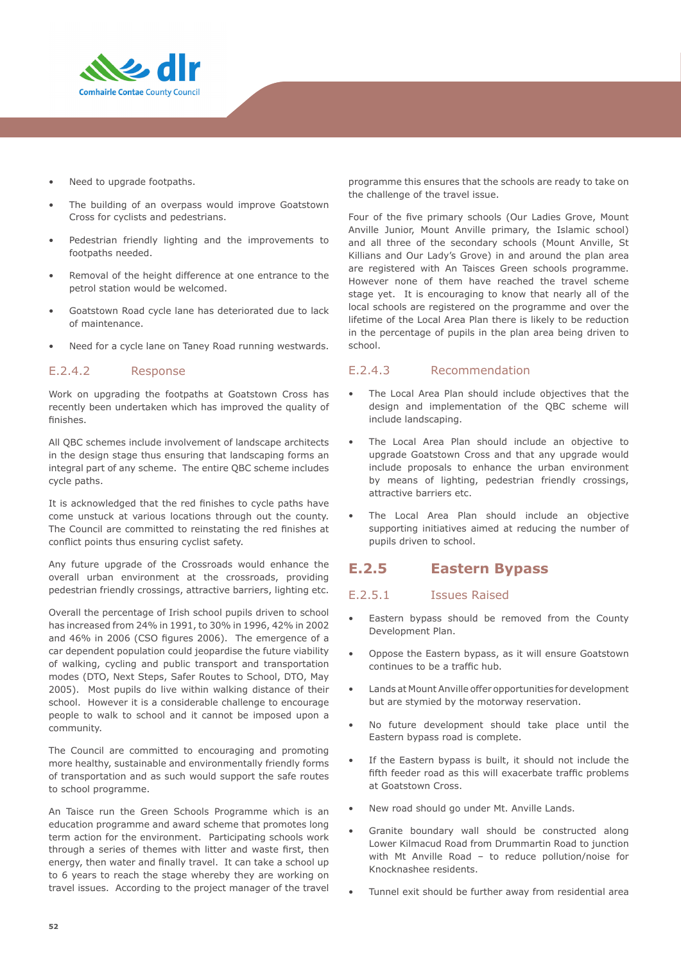

- Need to upgrade footpaths.
- The building of an overpass would improve Goatstown Cross for cyclists and pedestrians.
- Pedestrian friendly lighting and the improvements to footpaths needed.
- Removal of the height difference at one entrance to the petrol station would be welcomed.
- Goatstown Road cycle lane has deteriorated due to lack of maintenance.
- Need for a cycle lane on Taney Road running westwards.

#### E.2.4.2 Response

Work on upgrading the footpaths at Goatstown Cross has recently been undertaken which has improved the quality of finishes.

All QBC schemes include involvement of landscape architects in the design stage thus ensuring that landscaping forms an integral part of any scheme. The entire QBC scheme includes cycle paths.

It is acknowledged that the red finishes to cycle paths have come unstuck at various locations through out the county. The Council are committed to reinstating the red finishes at conflict points thus ensuring cyclist safety.

Any future upgrade of the Crossroads would enhance the overall urban environment at the crossroads, providing pedestrian friendly crossings, attractive barriers, lighting etc.

Overall the percentage of Irish school pupils driven to school has increased from 24% in 1991, to 30% in 1996, 42% in 2002 and 46% in 2006 (CSO figures 2006). The emergence of a car dependent population could jeopardise the future viability of walking, cycling and public transport and transportation modes (DTO, Next Steps, Safer Routes to School, DTO, May 2005). Most pupils do live within walking distance of their school. However it is a considerable challenge to encourage people to walk to school and it cannot be imposed upon a community.

The Council are committed to encouraging and promoting more healthy, sustainable and environmentally friendly forms of transportation and as such would support the safe routes to school programme.

An Taisce run the Green Schools Programme which is an education programme and award scheme that promotes long term action for the environment. Participating schools work through a series of themes with litter and waste first, then energy, then water and finally travel. It can take a school up to 6 years to reach the stage whereby they are working on travel issues. According to the project manager of the travel

programme this ensures that the schools are ready to take on the challenge of the travel issue.

Four of the five primary schools (Our Ladies Grove, Mount Anville Junior, Mount Anville primary, the Islamic school) and all three of the secondary schools (Mount Anville, St Killians and Our Lady's Grove) in and around the plan area are registered with An Taisces Green schools programme. However none of them have reached the travel scheme stage yet. It is encouraging to know that nearly all of the local schools are registered on the programme and over the lifetime of the Local Area Plan there is likely to be reduction in the percentage of pupils in the plan area being driven to school.

#### E.2.4.3 Recommendation

- The Local Area Plan should include objectives that the design and implementation of the QBC scheme will include landscaping.
- The Local Area Plan should include an objective to upgrade Goatstown Cross and that any upgrade would include proposals to enhance the urban environment by means of lighting, pedestrian friendly crossings, attractive barriers etc.
- The Local Area Plan should include an objective supporting initiatives aimed at reducing the number of pupils driven to school.

### **E.2.5 Eastern Bypass**

#### E.2.5.1 Issues Raised

- Eastern bypass should be removed from the County Development Plan.
- Oppose the Eastern bypass, as it will ensure Goatstown continues to be a traffic hub.
- Lands at Mount Anville offer opportunities for development but are stymied by the motorway reservation.
- No future development should take place until the Eastern bypass road is complete.
- If the Eastern bypass is built, it should not include the fifth feeder road as this will exacerbate traffic problems at Goatstown Cross.
- New road should go under Mt. Anville Lands.
- Granite boundary wall should be constructed along Lower Kilmacud Road from Drummartin Road to junction with Mt Anville Road – to reduce pollution/noise for Knocknashee residents.
- Tunnel exit should be further away from residential area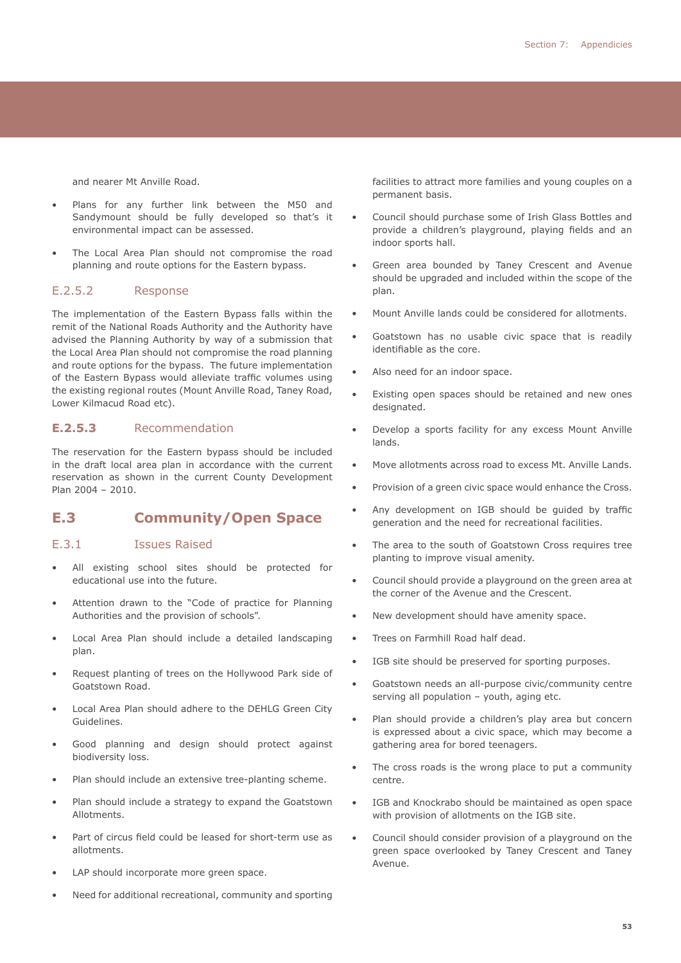and nearer Mt Anville Road.

- Plans for any further link between the M50 and Sandymount should be fully developed so that's it environmental impact can be assessed.
- The Local Area Plan should not compromise the road planning and route options for the Eastern bypass.

#### E.2.5.2 Response

The implementation of the Eastern Bypass falls within the remit of the National Roads Authority and the Authority have advised the Planning Authority by way of a submission that the Local Area Plan should not compromise the road planning and route options for the bypass. The future implementation of the Eastern Bypass would alleviate traffic volumes using the existing regional routes (Mount Anville Road, Taney Road, Lower Kilmacud Road etc).

#### **E.2.5.3** Recommendation

The reservation for the Eastern bypass should be included in the draft local area plan in accordance with the current reservation as shown in the current County Development Plan 2004 – 2010.

### **E.3 Community/Open Space**

#### E.3.1Issues Raised

- All existing school sites should be protected for educational use into the future.
- Attention drawn to the "Code of practice for Planning Authorities and the provision of schools".
- Local Area Plan should include a detailed landscaping plan.
- Request planting of trees on the Hollywood Park side of Goatstown Road.
- Local Area Plan should adhere to the DEHLG Green City Guidelines.
- Good planning and design should protect against biodiversity loss.
- Plan should include an extensive tree-planting scheme.
- Plan should include a strategy to expand the Goatstown Allotments.
- Part of circus field could be leased for short-term use as allotments.
- LAP should incorporate more green space.
- Need for additional recreational, community and sporting

facilities to attract more families and young couples on a permanent basis.

- Council should purchase some of Irish Glass Bottles and provide a children's playground, playing fields and an indoor sports hall.
- Green area bounded by Taney Crescent and Avenue should be upgraded and included within the scope of the plan.
- Mount Anville lands could be considered for allotments.
- Goatstown has no usable civic space that is readily identifiable as the core.
- Also need for an indoor space.
- Existing open spaces should be retained and new ones designated.
- Develop a sports facility for any excess Mount Anville lands.
- Move allotments across road to excess Mt. Anville Lands.
- Provision of a green civic space would enhance the Cross.
- Any development on IGB should be guided by traffic generation and the need for recreational facilities.
- The area to the south of Goatstown Cross requires tree planting to improve visual amenity.
- Council should provide a playground on the green area at the corner of the Avenue and the Crescent.
- New development should have amenity space.
- Trees on Farmhill Road half dead.
- IGB site should be preserved for sporting purposes.
- Goatstown needs an all-purpose civic/community centre serving all population – youth, aging etc.
- Plan should provide a children's play area but concern is expressed about a civic space, which may become a gathering area for bored teenagers.
- The cross roads is the wrong place to put a community centre.
- IGB and Knockrabo should be maintained as open space with provision of allotments on the IGB site.
- Council should consider provision of a playground on the green space overlooked by Taney Crescent and Taney Avenue.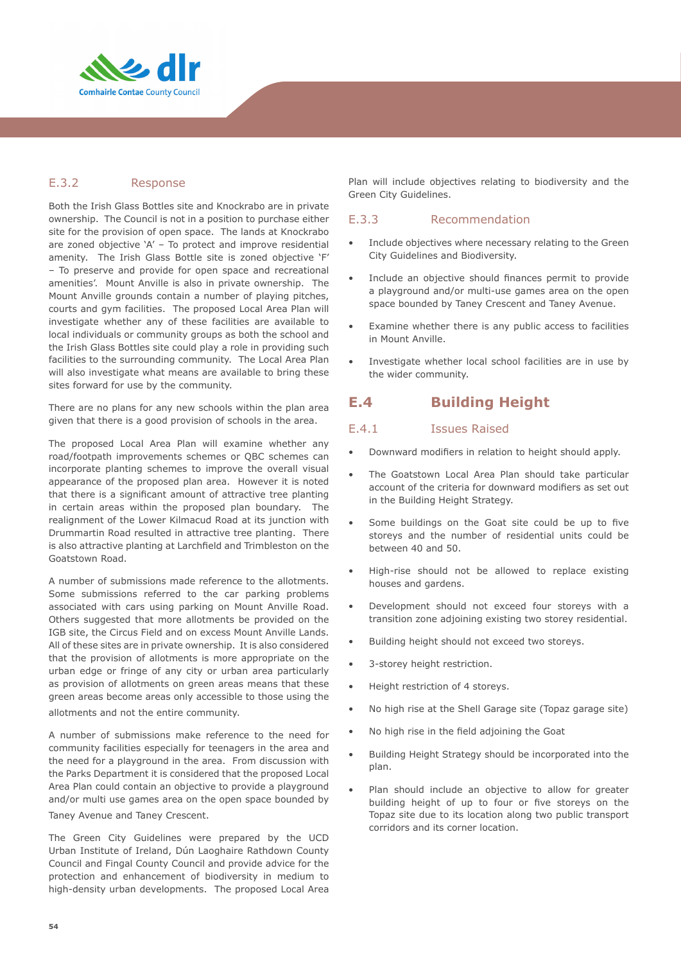

#### E.3.2Response

Both the Irish Glass Bottles site and Knockrabo are in private ownership. The Council is not in a position to purchase either site for the provision of open space. The lands at Knockrabo are zoned objective 'A' – To protect and improve residential amenity. The Irish Glass Bottle site is zoned objective 'F' – To preserve and provide for open space and recreational amenities'. Mount Anville is also in private ownership. The Mount Anville grounds contain a number of playing pitches, courts and gym facilities. The proposed Local Area Plan will investigate whether any of these facilities are available to local individuals or community groups as both the school and the Irish Glass Bottles site could play a role in providing such facilities to the surrounding community. The Local Area Plan will also investigate what means are available to bring these sites forward for use by the community.

There are no plans for any new schools within the plan area given that there is a good provision of schools in the area.

The proposed Local Area Plan will examine whether any road/footpath improvements schemes or QBC schemes can incorporate planting schemes to improve the overall visual appearance of the proposed plan area. However it is noted that there is a significant amount of attractive tree planting in certain areas within the proposed plan boundary. The realignment of the Lower Kilmacud Road at its junction with Drummartin Road resulted in attractive tree planting. There is also attractive planting at Larchfield and Trimbleston on the Goatstown Road.

A number of submissions made reference to the allotments. Some submissions referred to the car parking problems associated with cars using parking on Mount Anville Road. Others suggested that more allotments be provided on the IGB site, the Circus Field and on excess Mount Anville Lands. All of these sites are in private ownership. It is also considered that the provision of allotments is more appropriate on the urban edge or fringe of any city or urban area particularly as provision of allotments on green areas means that these green areas become areas only accessible to those using the

allotments and not the entire community.

A number of submissions make reference to the need for community facilities especially for teenagers in the area and the need for a playground in the area. From discussion with the Parks Department it is considered that the proposed Local Area Plan could contain an objective to provide a playground and/or multi use games area on the open space bounded by Taney Avenue and Taney Crescent.

The Green City Guidelines were prepared by the UCD Urban Institute of Ireland, Dún Laoghaire Rathdown County Council and Fingal County Council and provide advice for the protection and enhancement of biodiversity in medium to high-density urban developments. The proposed Local Area

Plan will include objectives relating to biodiversity and the Green City Guidelines.

#### E.3.3 Recommendation

- Include objectives where necessary relating to the Green City Guidelines and Biodiversity.
- Include an objective should finances permit to provide a playground and/or multi-use games area on the open space bounded by Taney Crescent and Taney Avenue.
- Examine whether there is any public access to facilities in Mount Anville.
- Investigate whether local school facilities are in use by the wider community.

# **E.4 Building Height**

#### E.4.1 Issues Raised

- Downward modifiers in relation to height should apply.
- The Goatstown Local Area Plan should take particular account of the criteria for downward modifiers as set out in the Building Height Strategy.
- Some buildings on the Goat site could be up to five storeys and the number of residential units could be between 40 and 50.
- High-rise should not be allowed to replace existing houses and gardens.
- Development should not exceed four storeys with a transition zone adjoining existing two storey residential.
- Building height should not exceed two storeys.
- 3-storey height restriction.
- Height restriction of 4 storeys.
- No high rise at the Shell Garage site (Topaz garage site)
- No high rise in the field adjoining the Goat
- Building Height Strategy should be incorporated into the plan.
- Plan should include an objective to allow for greater building height of up to four or five storeys on the Topaz site due to its location along two public transport corridors and its corner location.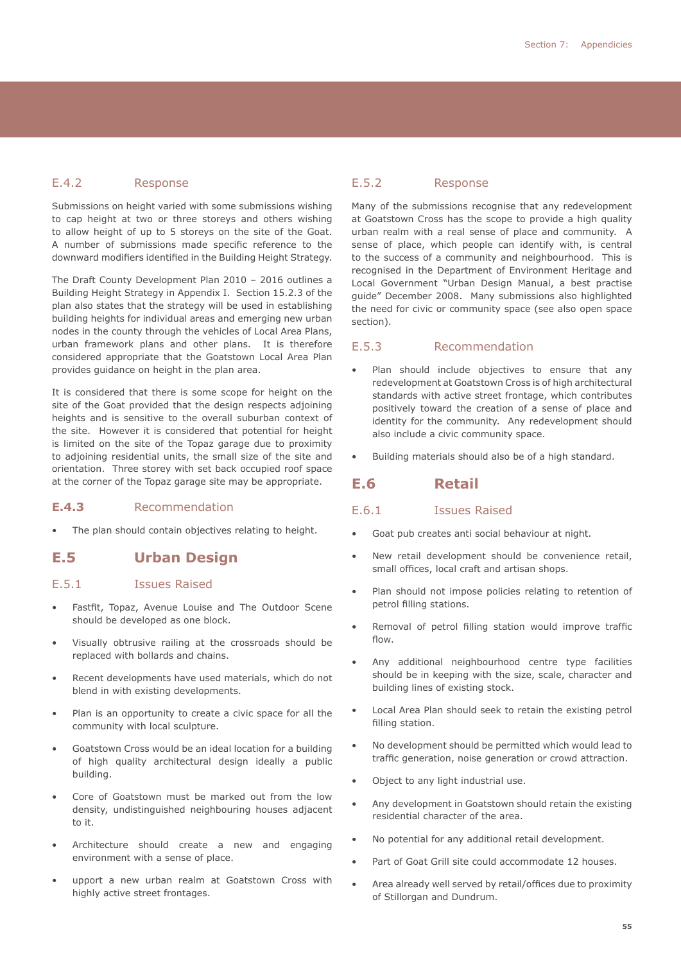#### E.4.2 Response

Submissions on height varied with some submissions wishing to cap height at two or three storeys and others wishing to allow height of up to 5 storeys on the site of the Goat. A number of submissions made specific reference to the downward modifiers identified in the Building Height Strategy.

The Draft County Development Plan 2010 – 2016 outlines a Building Height Strategy in Appendix I. Section 15.2.3 of the plan also states that the strategy will be used in establishing building heights for individual areas and emerging new urban nodes in the county through the vehicles of Local Area Plans, urban framework plans and other plans. It is therefore considered appropriate that the Goatstown Local Area Plan provides guidance on height in the plan area.

It is considered that there is some scope for height on the site of the Goat provided that the design respects adjoining heights and is sensitive to the overall suburban context of the site. However it is considered that potential for height is limited on the site of the Topaz garage due to proximity to adjoining residential units, the small size of the site and orientation. Three storey with set back occupied roof space at the corner of the Topaz garage site may be appropriate.

#### **E.4.3** Recommendation

The plan should contain objectives relating to height.

### **E.5 Urban Design**

#### E.5.1 Issues Raised

- Fastfit, Topaz, Avenue Louise and The Outdoor Scene should be developed as one block.
- Visually obtrusive railing at the crossroads should be replaced with bollards and chains.
- Recent developments have used materials, which do not blend in with existing developments.
- Plan is an opportunity to create a civic space for all the community with local sculpture.
- Goatstown Cross would be an ideal location for a building of high quality architectural design ideally a public building.
- Core of Goatstown must be marked out from the low density, undistinguished neighbouring houses adjacent to it.
- Architecture should create a new and engaging environment with a sense of place.
- upport a new urban realm at Goatstown Cross with highly active street frontages.

#### E.5.2 Response

Many of the submissions recognise that any redevelopment at Goatstown Cross has the scope to provide a high quality urban realm with a real sense of place and community. A sense of place, which people can identify with, is central to the success of a community and neighbourhood. This is recognised in the Department of Environment Heritage and Local Government "Urban Design Manual, a best practise guide" December 2008. Many submissions also highlighted the need for civic or community space (see also open space section).

#### E.5.3 Recommendation

- Plan should include objectives to ensure that any redevelopment at Goatstown Cross is of high architectural standards with active street frontage, which contributes positively toward the creation of a sense of place and identity for the community. Any redevelopment should also include a civic community space.
- Building materials should also be of a high standard.

#### **E.6 Retail**

#### E.6.1 Issues Raised

- Goat pub creates anti social behaviour at night.
- New retail development should be convenience retail, small offices, local craft and artisan shops.
- Plan should not impose policies relating to retention of petrol filling stations.
- Removal of petrol filling station would improve traffic flow.
- Any additional neighbourhood centre type facilities should be in keeping with the size, scale, character and building lines of existing stock.
- Local Area Plan should seek to retain the existing petrol filling station.
- No development should be permitted which would lead to traffic generation, noise generation or crowd attraction.
- Object to any light industrial use.
- Any development in Goatstown should retain the existing residential character of the area.
- No potential for any additional retail development.
- Part of Goat Grill site could accommodate 12 houses.
- Area already well served by retail/offices due to proximity of Stillorgan and Dundrum.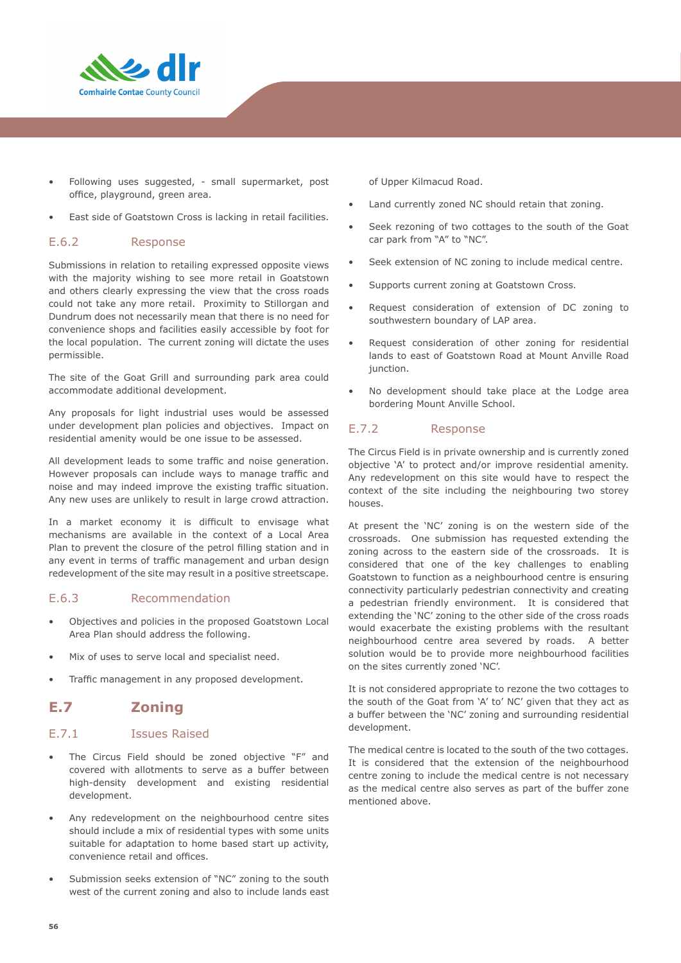

- Following uses suggested, small supermarket, post office, playground, green area.
- East side of Goatstown Cross is lacking in retail facilities.

#### E.6.2Response

Submissions in relation to retailing expressed opposite views with the majority wishing to see more retail in Goatstown and others clearly expressing the view that the cross roads could not take any more retail. Proximity to Stillorgan and Dundrum does not necessarily mean that there is no need for convenience shops and facilities easily accessible by foot for the local population. The current zoning will dictate the uses permissible.

The site of the Goat Grill and surrounding park area could accommodate additional development.

Any proposals for light industrial uses would be assessed under development plan policies and objectives. Impact on residential amenity would be one issue to be assessed.

All development leads to some traffic and noise generation. However proposals can include ways to manage traffic and noise and may indeed improve the existing traffic situation. Any new uses are unlikely to result in large crowd attraction.

In a market economy it is difficult to envisage what mechanisms are available in the context of a Local Area Plan to prevent the closure of the petrol filling station and in any event in terms of traffic management and urban design redevelopment of the site may result in a positive streetscape.

#### E.6.3Recommendation

- Objectives and policies in the proposed Goatstown Local Area Plan should address the following.
- Mix of uses to serve local and specialist need.
- Traffic management in any proposed development.

# **E.7 Zoning**

#### E.7.1 Issues Raised

- The Circus Field should be zoned objective "F" and covered with allotments to serve as a buffer between high-density development and existing residential development.
- Any redevelopment on the neighbourhood centre sites should include a mix of residential types with some units suitable for adaptation to home based start up activity, convenience retail and offices.
- Submission seeks extension of "NC" zoning to the south west of the current zoning and also to include lands east

of Upper Kilmacud Road.

- Land currently zoned NC should retain that zoning.
- Seek rezoning of two cottages to the south of the Goat car park from "A" to "NC".
- Seek extension of NC zoning to include medical centre.
- Supports current zoning at Goatstown Cross.
- Request consideration of extension of DC zoning to southwestern boundary of LAP area.
- Request consideration of other zoning for residential lands to east of Goatstown Road at Mount Anville Road junction.
- No development should take place at the Lodge area bordering Mount Anville School.

#### E.7.2 Response

The Circus Field is in private ownership and is currently zoned objective 'A' to protect and/or improve residential amenity. Any redevelopment on this site would have to respect the context of the site including the neighbouring two storey houses.

At present the 'NC' zoning is on the western side of the crossroads. One submission has requested extending the zoning across to the eastern side of the crossroads. It is considered that one of the key challenges to enabling Goatstown to function as a neighbourhood centre is ensuring connectivity particularly pedestrian connectivity and creating a pedestrian friendly environment. It is considered that extending the 'NC' zoning to the other side of the cross roads would exacerbate the existing problems with the resultant neighbourhood centre area severed by roads. A better solution would be to provide more neighbourhood facilities on the sites currently zoned 'NC'.

It is not considered appropriate to rezone the two cottages to the south of the Goat from 'A' to' NC' given that they act as a buffer between the 'NC' zoning and surrounding residential development.

The medical centre is located to the south of the two cottages. It is considered that the extension of the neighbourhood centre zoning to include the medical centre is not necessary as the medical centre also serves as part of the buffer zone mentioned above.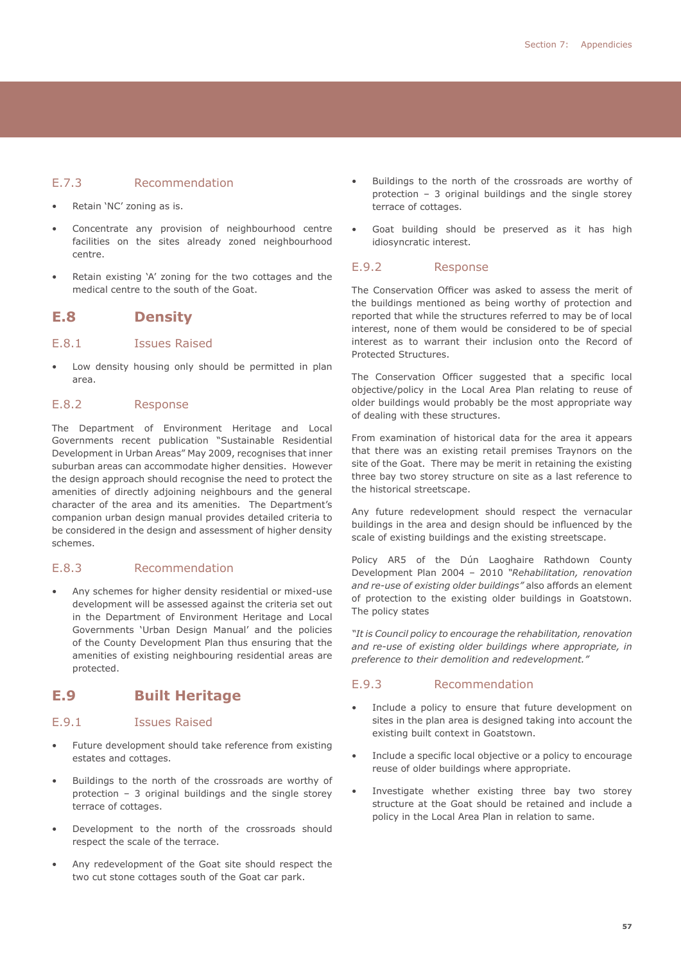#### E.7.3 Recommendation

- Retain 'NC' zoning as is.
- Concentrate any provision of neighbourhood centre facilities on the sites already zoned neighbourhood centre.
- Retain existing 'A' zoning for the two cottages and the medical centre to the south of the Goat.

#### **E.8 Density**

#### E.8.1 Issues Raised

Low density housing only should be permitted in plan area.

#### E.8.2 Response

The Department of Environment Heritage and Local Governments recent publication "Sustainable Residential Development in Urban Areas" May 2009, recognises that inner suburban areas can accommodate higher densities. However the design approach should recognise the need to protect the amenities of directly adjoining neighbours and the general character of the area and its amenities. The Department's companion urban design manual provides detailed criteria to be considered in the design and assessment of higher density schemes.

#### E.8.3Recommendation

• Any schemes for higher density residential or mixed-use development will be assessed against the criteria set out in the Department of Environment Heritage and Local Governments 'Urban Design Manual' and the policies of the County Development Plan thus ensuring that the amenities of existing neighbouring residential areas are protected.

### **E.9 Built Heritage**

#### E.9.1Issues Raised

- Future development should take reference from existing estates and cottages.
- Buildings to the north of the crossroads are worthy of protection – 3 original buildings and the single storey terrace of cottages.
- Development to the north of the crossroads should respect the scale of the terrace.
- Any redevelopment of the Goat site should respect the two cut stone cottages south of the Goat car park.
- Buildings to the north of the crossroads are worthy of protection – 3 original buildings and the single storey terrace of cottages.
- Goat building should be preserved as it has high idiosyncratic interest.

#### E.9.2 Response

The Conservation Officer was asked to assess the merit of the buildings mentioned as being worthy of protection and reported that while the structures referred to may be of local interest, none of them would be considered to be of special interest as to warrant their inclusion onto the Record of Protected Structures.

The Conservation Officer suggested that a specific local objective/policy in the Local Area Plan relating to reuse of older buildings would probably be the most appropriate way of dealing with these structures.

From examination of historical data for the area it appears that there was an existing retail premises Traynors on the site of the Goat. There may be merit in retaining the existing three bay two storey structure on site as a last reference to the historical streetscape.

Any future redevelopment should respect the vernacular buildings in the area and design should be influenced by the scale of existing buildings and the existing streetscape.

Policy AR5 of the Dún Laoghaire Rathdown County Development Plan 2004 – 2010 *"Rehabilitation, renovation and re-use of existing older buildings"* also affords an element of protection to the existing older buildings in Goatstown. The policy states

*"It is Council policy to encourage the rehabilitation, renovation and re-use of existing older buildings where appropriate, in preference to their demolition and redevelopment."*

#### E.9.3 Recommendation

- Include a policy to ensure that future development on sites in the plan area is designed taking into account the existing built context in Goatstown.
- Include a specific local objective or a policy to encourage reuse of older buildings where appropriate.
- Investigate whether existing three bay two storey structure at the Goat should be retained and include a policy in the Local Area Plan in relation to same.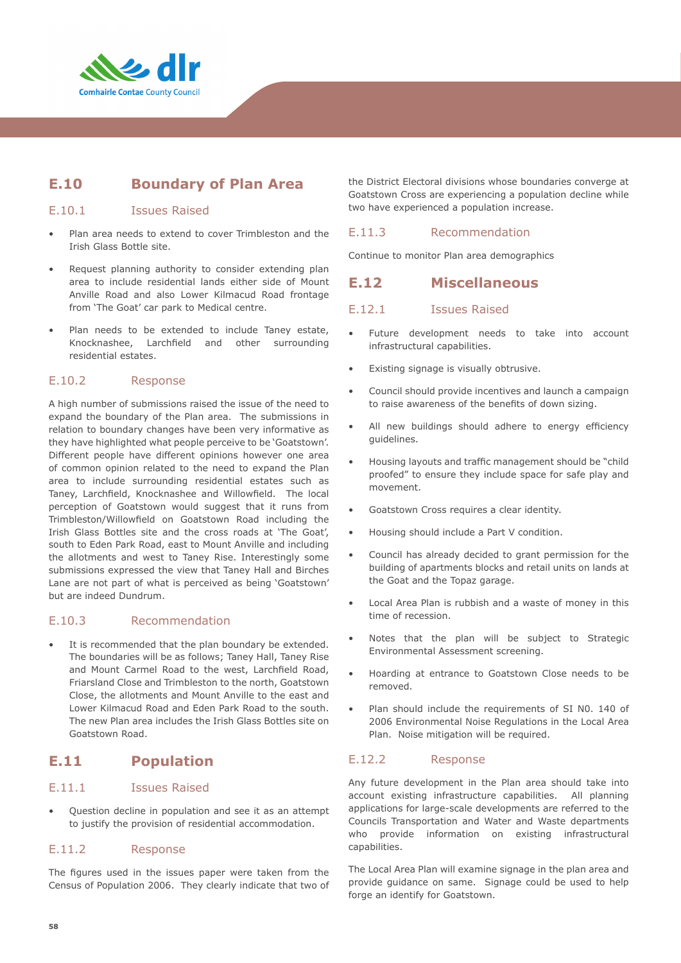

# **E.10 Boundary of Plan Area**

#### E.10.1 Issues Raised

- Plan area needs to extend to cover Trimbleston and the Irish Glass Bottle site.
- Request planning authority to consider extending plan area to include residential lands either side of Mount Anville Road and also Lower Kilmacud Road frontage from 'The Goat' car park to Medical centre.
- Plan needs to be extended to include Taney estate, Knocknashee, Larchfield and other surrounding residential estates.

#### E.10.2 Response

A high number of submissions raised the issue of the need to expand the boundary of the Plan area. The submissions in relation to boundary changes have been very informative as they have highlighted what people perceive to be 'Goatstown'. Different people have different opinions however one area of common opinion related to the need to expand the Plan area to include surrounding residential estates such as Taney, Larchfield, Knocknashee and Willowfield. The local perception of Goatstown would suggest that it runs from Trimbleston/Willowfield on Goatstown Road including the Irish Glass Bottles site and the cross roads at 'The Goat', south to Eden Park Road, east to Mount Anville and including the allotments and west to Taney Rise. Interestingly some submissions expressed the view that Taney Hall and Birches Lane are not part of what is perceived as being 'Goatstown' but are indeed Dundrum.

#### E.10.3 Recommendation

It is recommended that the plan boundary be extended. The boundaries will be as follows; Taney Hall, Taney Rise and Mount Carmel Road to the west, Larchfield Road, Friarsland Close and Trimbleston to the north, Goatstown Close, the allotments and Mount Anville to the east and Lower Kilmacud Road and Eden Park Road to the south. The new Plan area includes the Irish Glass Bottles site on Goatstown Road.

# **E.11 Population**

#### E.11.1 Issues Raised

• Question decline in population and see it as an attempt to justify the provision of residential accommodation.

#### E.11.2 Response

The figures used in the issues paper were taken from the Census of Population 2006. They clearly indicate that two of the District Electoral divisions whose boundaries converge at Goatstown Cross are experiencing a population decline while two have experienced a population increase.

#### E.11.3 Recommendation

Continue to monitor Plan area demographics

#### **E.12 Miscellaneous**

#### E.12.1 Issues Raised

- Future development needs to take into account infrastructural capabilities.
- Existing signage is visually obtrusive.
- Council should provide incentives and launch a campaign to raise awareness of the benefits of down sizing.
- All new buildings should adhere to energy efficiency guidelines.
- Housing layouts and traffic management should be "child proofed" to ensure they include space for safe play and movement.
- Goatstown Cross requires a clear identity.
- Housing should include a Part V condition.
- Council has already decided to grant permission for the building of apartments blocks and retail units on lands at the Goat and the Topaz garage.
- Local Area Plan is rubbish and a waste of money in this time of recession.
- Notes that the plan will be subject to Strategic Environmental Assessment screening.
- Hoarding at entrance to Goatstown Close needs to be removed.
- Plan should include the requirements of SI N0. 140 of 2006 Environmental Noise Regulations in the Local Area Plan. Noise mitigation will be required.

#### E.12.2 Response

Any future development in the Plan area should take into account existing infrastructure capabilities. All planning applications for large-scale developments are referred to the Councils Transportation and Water and Waste departments who provide information on existing infrastructural capabilities.

The Local Area Plan will examine signage in the plan area and provide guidance on same. Signage could be used to help forge an identify for Goatstown.